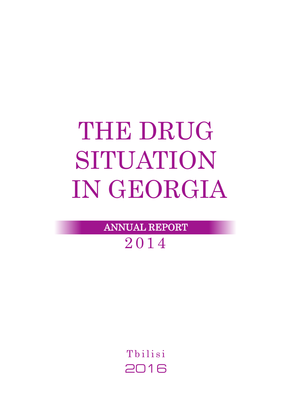# THE DRUG SITUATION IN GEORGIA

ANNUAL REPORT

2014

Tbilisi 2016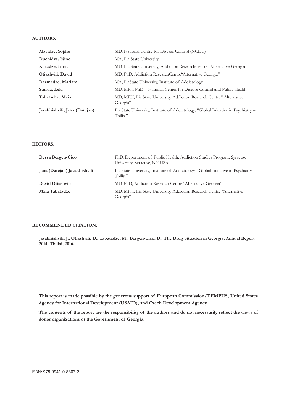#### **AUTHORS:**

| Alavidze, Sopho               | MD, National Centre for Disease Control (NCDC)                                                  |
|-------------------------------|-------------------------------------------------------------------------------------------------|
| Duchidze, Nino                | MA, Ilia State University                                                                       |
| Kirtadze, Irma                | MD, Ilia State University, Addiction ResearchCentre "Alternative Georgia"                       |
| Otiashvili, David             | MD, PhD, Addiction ResearchCentre Alternative Georgia"                                          |
| Razmadze, Mariam              | MA, IliaState University, Institute of Addictology                                              |
| Sturua, Lela                  | MD, MPH PhD – National Center for Disease Control and Public Health                             |
| Tabatadze, Mzia               | MD, MPH, Ilia State University, Addiction Research Centre" Alternative<br>Georgia"              |
| Javakhishvili, Jana (Darejan) | Ilia State University, Institute of Addictology, "Global Initiative in Psychiatry -<br>Tbilisi" |

#### **EDITORS:**

| Dessa Bergen-Cico            | PhD, Department of Public Health, Addiction Studies Program, Syracuse<br>University, Syracuse, NY USA |
|------------------------------|-------------------------------------------------------------------------------------------------------|
| Jana (Darejan) Javakhishvili | Ilia State University, Institute of Addictology, "Global Initiative in Psychiatry -<br>Thilisi"       |
| David Otiashvili             | MD, PhD, Addiction Research Centre "Alternative Georgia"                                              |
| Mzia Tabatadze               | MD, MPH, Ilia State University, Addiction Research Centre "Alternative<br>Georgia"                    |

#### **RECOMMENDED CITATION:**

**Javakhishvili, J., Otiashvili, D., Tabatadze, M., Bergen-Cico, D., The Drug Situation in Georgia, Annual Report 2014, Tbilisi, 2016.**

**This report is made possible by the generous support of European Commission/TEMPUS, United States Agency for International Development (USAID), and Czech Development Agency.** 

**The contents of the report are the responsibility of the authors and do not necessarily reflect the views of donor organizations or the Government of Georgia.**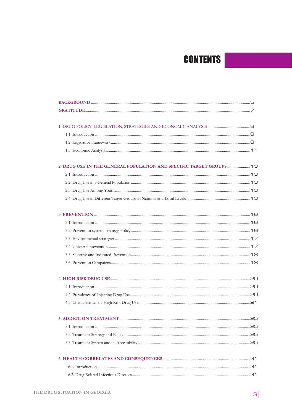# **CONTENTS**

| <b>5. ADDICTION TREATMENT</b> | 25 |
|-------------------------------|----|
|                               |    |
|                               |    |
|                               |    |
|                               |    |
|                               |    |
|                               |    |
|                               |    |
|                               |    |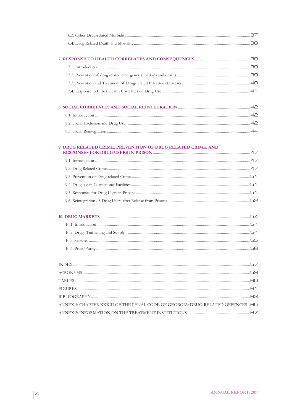| 9. DRUG RELATED CRIME, PREVENTION OF DRUG RELATED CRIME, AND                                                                                                                                                                                                                          |  |
|---------------------------------------------------------------------------------------------------------------------------------------------------------------------------------------------------------------------------------------------------------------------------------------|--|
|                                                                                                                                                                                                                                                                                       |  |
|                                                                                                                                                                                                                                                                                       |  |
|                                                                                                                                                                                                                                                                                       |  |
|                                                                                                                                                                                                                                                                                       |  |
|                                                                                                                                                                                                                                                                                       |  |
|                                                                                                                                                                                                                                                                                       |  |
|                                                                                                                                                                                                                                                                                       |  |
|                                                                                                                                                                                                                                                                                       |  |
|                                                                                                                                                                                                                                                                                       |  |
|                                                                                                                                                                                                                                                                                       |  |
| $\frac{1}{2}$ , and $\frac{1}{2}$ , and $\frac{1}{2}$ , and $\frac{1}{2}$ , and $\frac{1}{2}$ , and $\frac{1}{2}$ , and $\frac{1}{2}$ , and $\frac{1}{2}$ , and $\frac{1}{2}$ , and $\frac{1}{2}$ , and $\frac{1}{2}$ , and $\frac{1}{2}$ , and $\frac{1}{2}$ , and $\frac{1}{2}$ , a |  |

| ANNEX 1: CHAPTER XXXIII OF THE PENAL CODE OF GEORGIA: DRUG-RELATED OFFENCES 65 |  |
|--------------------------------------------------------------------------------|--|
|                                                                                |  |
|                                                                                |  |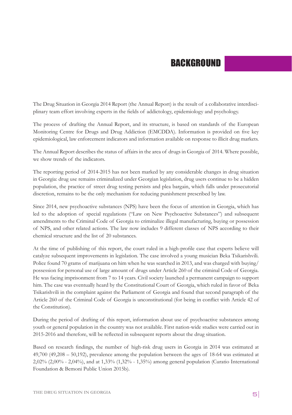# BACKGROUND

The Drug Situation in Georgia 2014 Report (the Annual Report) is the result of a collaborative interdisciplinary team effort involving experts in the fields of addictology, epidemiology and psychology.

The process of drafting the Annual Report, and its structure, is based on standards of the European Monitoring Centre for Drugs and Drug Addiction (EMCDDA). Information is provided on five key epidemiological, law enforcement indicators and information available on response to illicit drug markets.

The Annual Report describes the status of affairs in the area of drugs in Georgia of 2014. Where possible, we show trends of the indicators.

The reporting period of 2014-2015 has not been marked by any considerable changes in drug situation in Georgia: drug use remains criminalized under Georgian legislation, drug users continue to be a hidden population, the practice of street drug testing persists and plea bargain, which falls under prosecutorial discretion, remains to be the only mechanism for reducing punishment prescribed by law.

Since 2014, new psychoactive substances (NPS) have been the focus of attention in Georgia, which has led to the adoption of special regulations ("Law on New Psychoactive Substances") and subsequent amendments to the Criminal Code of Georgia to criminalize illegal manufacturing, buying or possession of NPS, and other related actions. The law now includes 9 different classes of NPS according to their chemical structure and the list of 20 substances.

At the time of publishing of this report, the court ruled in a high-profile case that experts believe will catalyze subsequent improvements in legislation. The case involved a young musician Beka Tsikarishvili. Police found 70 grams of marijuana on him when he was searched in 2013, and was charged with buying/ possession for personal use of large amount of drugs under Article 260 of the criminal Code of Georgia. He was facing imprisonment from 7 to 14 years. Civil society launched a permanent campaign to support him. The case was eventually heard by the Constitutional Court of Georgia, which ruled in favor of Beka Tsikarishvili in the complaint against the Parliament of Georgia and found that second paragraph of the Article 260 of the Criminal Code of Georgia is unconstitutional (for being in conflict with Article 42 of the Constitution).

During the period of drafting of this report, information about use of psychoactive substances among youth or general population in the country was not available. First nation-wide studies were carried out in 2015-2016 and therefore, will be reflected in subsequent reports about the drug situation.

Based on research findings, the number of high-risk drug users in Georgia in 2014 was estimated at 49,700 (49,208 – 50,192), prevalence among the population between the ages of 18-64 was estimated at 2,02% (2,00% - 2,04%), and at 1,33% (1,32% - 1,35%) among general population (Curatio International Foundation & Bemoni Public Union 2015b).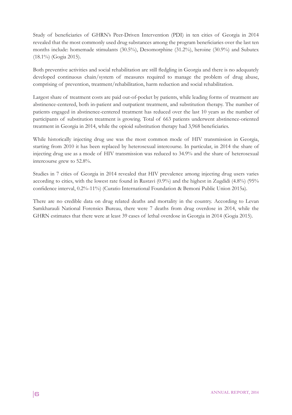Study of beneficiaries of GHRN's Peer-Driven Intervention (PDI) in ten cities of Georgia in 2014 revealed that the most commonly used drug substances among the program beneficiaries over the last ten months include: homemade stimulants (30.5%), Desomorphine (31.2%), heroine (30.9%) and Subutex (18.1%) (Gogia 2015).

Both preventive activities and social rehabilitation are still fledgling in Georgia and there is no adequately developed continuous chain/system of measures required to manage the problem of drug abuse, comprising of prevention, treatment/rehabilitation, harm reduction and social rehabilitation.

Largest share of treatment costs are paid out-of-pocket by patients, while leading forms of treatment are abstinence-centered, both in-patient and outpatient treatment, and substitution therapy. The number of patients engaged in abstinence-centered treatment has reduced over the last 10 years as the number of participants of substitution treatment is growing. Total of 663 patients underwent abstinence-oriented treatment in Georgia in 2014, while the opioid substitution therapy had 3,968 beneficiaries.

While historically injecting drug use was the most common mode of HIV transmission in Georgia, starting from 2010 it has been replaced by heterosexual intercourse. In particular, in 2014 the share of injecting drug use as a mode of HIV transmission was reduced to 34.9% and the share of heterosexual intercourse grew to 52.8%.

Studies in 7 cities of Georgia in 2014 revealed that HIV prevalence among injecting drug users varies according to cities, with the lowest rate found in Rustavi (0.9%) and the highest in Zugdidi (4.8%) (95% confidence interval, 0.2%-11%) (Curatio International Foundation & Bemoni Public Union 2015a).

There are no credible data on drug related deaths and mortality in the country. According to Levan Samkharauli National Forensics Bureau, there were 7 deaths from drug overdose in 2014, while the GHRN estimates that there were at least 39 cases of lethal overdose in Georgia in 2014 (Gogia 2015).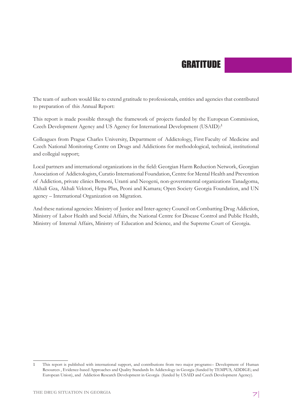# GRATITUDE

The team of authors would like to extend gratitude to professionals, entities and agencies that contributed to preparation of this Annual Report:

This report is made possible through the framework of projects funded by the European Commission, Czech Development Agency and US Agency for International Development (USAID):<sup>1</sup>

Colleagues from Prague Charles University, Department of Addictology, First Faculty of Medicine and Czech National Monitoring Centre on Drugs and Addictions for methodological, technical, institutional and collegial support;

Local partners and international organizations in the field: Georgian Harm Reduction Network, Georgian Association of Addictologists, Curatio International Foundation, Centre for Mental Health and Prevention of Addiction, private clinics Bemoni, Uranti and Neogeni, non-governmental organizations Tanadgoma, Akhali Gza, Akhali Vektori, Hepa Plus, Peoni and Kamara; Open Society Georgia Foundation, and UN agency – International Organization on Migration.

And these national agencies: Ministry of Justice and Inter-agency Council on Combatting Drug Addiction, Ministry of Labor Health and Social Affairs, the National Centre for Disease Control and Public Health, Ministry of Internal Affairs, Ministry of Education and Science, and the Supreme Court of Georgia.

<sup>1</sup> This report is published with international support, and contributions from two major programs:– Development of Human Resources , Evidence-based Approaches and Quality Standards In Addictology in Georgia (funded by TEMPUS, ADDIGE; and European Union), and Addiction Research Development in Georgia (funded by USAID and Czech Development Agency).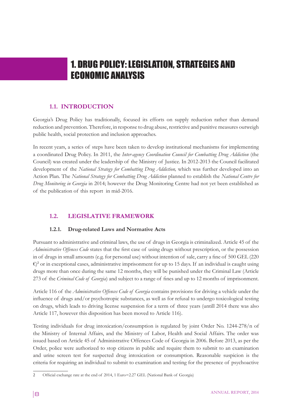# 1. DRUG POLICY: LEGISLATION, STRATEGIES AND ECONOMIC ANALYSIS

# **1.1. INTRODUCTION**

Georgia's Drug Policy has traditionally, focused its efforts on supply reduction rather than demand reduction and prevention. Therefore, in response to drug abuse, restrictive and punitive measures outweigh public health, social protection and inclusion approaches.

In recent years, a series of steps have been taken to develop institutional mechanisms for implementing a coordinated Drug Policy. In 2011, the *Inter-agency Coordination Council for Combatting Drug Addiction* (the Council) was created under the leadership of the Ministry of Justice. In 2012-2013 the Council facilitated development of the *National Strategy for Combatting Drug Addiction,* which was further developed into an Action Plan. The *National Strategy for Combatting Drug Addiction* planned to establish the *National Centre for Drug Monitoring in Georgia* in 2014; however the Drug Monitoring Centre had not yet been established as of the publication of this report in mid-2016.

# **1.2. LEGISLATIVE FRAMEWORK**

# **1.2.1. Drug-related Laws and Normative Acts**

Pursuant to administrative and criminal laws, the use of drugs in Georgia is criminalized. Article 45 of the *Administrative Offences Code* states that the first case of using drugs without prescription, or the possession in of drugs in small amounts (e.g. for personal use) without intention of sale, carry a fine of 500 GEL (220  $\epsilon$ )<sup>2</sup> or in exceptional cases, administrative imprisonment for up to 15 days. If an individual is caught using drugs more than once during the same 12 months, they will be punished under the Criminal Law (Article 273 of the *Criminal Code of Georgia*) and subject to a range of fines and up to 12 months of imprisonment.

Article 116 of the *Administrative Offences Code of Georgia* contains provisions for driving a vehicle under the influence of drugs and/or psychotropic substances, as well as for refusal to undergo toxicological testing on drugs, which leads to driving license suspension for a term of three years (untill 2014 there was also Article 117, however this disposition has been moved to Article 116).

Testing individuals for drug intoxication/consumption is regulated by joint Order No. 1244-278/n of the Ministry of Internal Affairs, and the Ministry of Labor, Health and Social Affairs. The order was issued based on Article 45 of Administrative Offences Code of Georgia in 2006. Before 2013, as per the Order, police were authorized to stop citizens in public and require them to submit to an examination and urine screen test for suspected drug intoxication or consumption. Reasonable suspicion is the criteria for requiring an individual to submit to examination and testing for the presence of psychoactive

<sup>2</sup> Official exchange rate at the end of 2014, 1 Euro=2.27 GEL (National Bank of Georgia)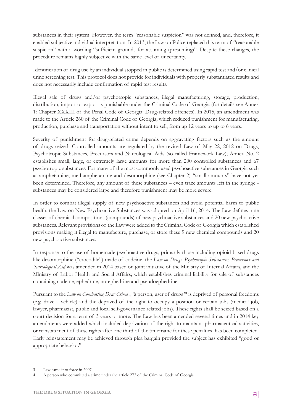substances in their system. However, the term "reasonable suspicion" was not defined, and, therefore, it enabled subjective individual interpretation. In 2013, the Law on Police replaced this term of "reasonable suspicion" with a wording "sufficient grounds for assuming (presuming)". Despite these changes, the procedure remains highly subjective with the same level of uncertainty.

Identification of drug use by an individual stopped in public is determined using rapid test and/or clinical urine screening test. This protocol does not provide for individuals with properly substantiated results and does not necessarily include confirmation of rapid test results.

Illegal sale of drugs and/or psychotropic substances, illegal manufacturing, storage, production, distribution, import or export is punishable under the Criminal Code of Georgia (for details see Annex 1: Chapter XXXIII of the Penal Code of Georgia: Drug-related offences). In 2015, an amendment was made to the Article 260 of the Criminal Code of Georgia; which reduced punishment for manufacturing, production, purchase and transportation without intent to sell, from up 12 years to up to 6 years.

Severity of punishment for drug-related crime depends on aggravating factors such as the amount of drugs seized. Controlled amounts are regulated by the revised Law of May 22, 2012 on Drugs, Psychotropic Substances, Precursors and Narcological Aids (so-called Framework Law); Annex No. 2 establishes small, large, or extremely large amounts for more than 200 controlled substances and 67 psychotropic substances. For many of the most commonly used psychoactive substances in Georgia such as amphetamine, methamphetamine and desomorphine (see Chapter 2) "small amounts" have not yet been determined. Therefore, any amount of these substances – even trace amounts left in the syringe substances may be considered large and therefore punishment may be more severe.

In order to combat illegal supply of new psychoactive substances and avoid potential harm to public health, the Law on New Psychoactive Substances was adopted on April 16, 2014. The Law defines nine classes of chemical compositions (compounds) of new psychoactive substances and 20 new psychoactive substances. Relevant provisions of the Law were added to the Criminal Code of Georgia which established provisions making it illegal to manufacture, purchase, or store these 9 new chemical compounds and 20 new psychoactive substances.

In response to the use of homemade psychoactive drugs, primarily those including opioid based drugs like desomorphine ("crocodile") made of codeine, the *Law on Drugs, Psychotropic Substances, Precursors and Narcological Aid* was amended in 2014 based on joint initiative of the Ministry of Internal Affairs, and the Ministry of Labor Health and Social Affairs; which establishes criminal liability for sale of substances containing codeine, ephedrine, norephedrine and pseudoephedrine.

Pursuant to the *Law on Combatting Drug Crime*<sup>3</sup>, "a person, user of drugs<sup>, "4</sup> is deprived of personal freedoms (e.g. drive a vehicle) and the deprived of the right to occupy a position or certain jobs (medical job, lawyer, pharmacist, public and local self-governance related jobs). These rights shall be seized based on a court decision for a term of 3 years or more. The Law has been amended several times and in 2014 key amendments were added which included deprivation of the right to maintain pharmaceutical activities, or reinstatement of these rights after one third of the timeframe for these penalties has been completed. Early reinstatement may be achieved through plea bargain provided the subject has exhibited "good or appropriate behavior."

<sup>3</sup> Law came into force in 2007

<sup>4</sup> A person who committed a crime under the article 273 of the Criminal Code of Georgia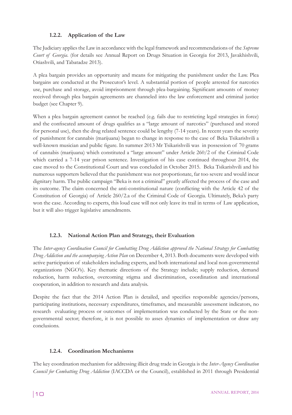# **1.2.2. Application of the Law**

The Judiciary applies the Law in accordance with the legal framework and recommendations of the *Supreme Court of Georgia*. (for details see Annual Report on Drugs Situation in Georgia for 2013, Javakhishvili, Otiashvili, and Tabatadze 2013).

A plea bargain provides an opportunity and means for mitigating the punishment under the Law. Plea bargains are conducted at the Prosecutor's level. A substantial portion of people arrested for narcotics use, purchase and storage, avoid imprisonment through plea-bargaining. Significant amounts of money received through plea bargain agreements are channeled into the law enforcement and criminal justice budget (see Chapter 9).

When a plea bargain agreement cannot be reached (e.g. fails due to restricting legal strategies in force) and the confiscated amount of drugs qualifies as a "large amount of narcotics" (purchased and stored for personal use), then the drug related sentence could be lengthy (7-14 years). In recent years the severity of punishment for cannabis (marijuana) began to change in response to the case of Beka Tsikarishvili a well-known musician and public figure. In summer 2013 Mr Tsikarishvili was in possession of 70 grams of cannabis (marijuana) which constituted a "large amount" under Article 260/2 of the Criminal Code which carried a 7-14 year prison sentence. Investigation of his case continued throughout 2014, the case moved to the Constitutional Court and was concluded in October 2015. Beka Tsikarishvili and his numerous supporters believed that the punishment was not proportionate, far too severe and would incur dignitary harm. The public campaign "Beka is not a criminal" greatly affected the process of the case and its outcome. The claim concerned the anti-constitutional nature (conflicting with the Article 42 of the Constitution of Georgia) of Article 260/2.a of the Criminal Code of Georgia. Ultimately, Beka's party won the case. According to experts, this loud case will not only leave its trail in terms of Law application, but it will also trigger legislative amendments.

# **1.2.3. National Action Plan and Strategy, their Evaluation**

The *Inter-agency Coordination Council for Combatting Drug Addiction approved the National Strategy for Combatting Drug Addiction and the accompanying Action Plan* on December 4, 2013. Both documents were developed with active participation of stakeholders including experts, and both international and local non-governmental organizations (NGO's). Key thematic directions of the Strategy include; supply reduction, demand reduction, harm reduction, overcoming stigma and discrimination, coordination and international cooperation, in addition to research and data analysis.

Despite the fact that the 2014 Action Plan is detailed, and specifies responsible agencies/persons, participating institutions, necessary expenditures, timeframes, and measurable assessment indicators, no research evaluating process or outcomes of implementation was conducted by the State or the nongovernmental sector; therefore, it is not possible to asses dynamics of implementation or draw any conclusions.

### **1.2.4. Coordination Mechanisms**

The key coordination mechanism for addressing illicit drug trade in Georgia is the *Inter-Agency Coordination Council for Combatting Drug Addiction* (IACCDA or the Council), established in 2011 through Presidential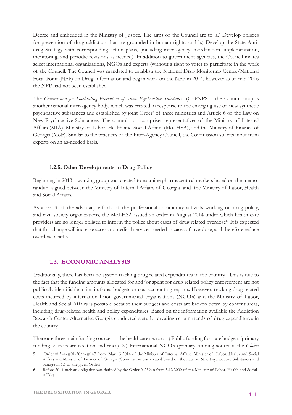Decree and embedded in the Ministry of Justice. The aims of the Council are to: a.) Develop policies for prevention of drug addiction that are grounded in human rights; and b.) Develop the State Antidrug Strategy with corresponding action plans, (including inter-agency coordination, implementation, monitoring, and periodic revisions as needed). In addition to government agencies, the Council invites select international organizations, NGOs and experts (without a right to vote) to participate in the work of the Council. The Council was mandated to establish the National Drug Monitoring Centre/National Focal Point (NFP) on Drug Information and began work on the NFP in 2014, however as of mid-2016 the NFP had not been established.

The *Commission for Facilitating Prevention of New Psychoactive Substances* (CFPNPS – the Commission) is another national inter-agency body, which was created in response to the emerging use of new synthetic psychoactive substances and established by joint Order<sup>5</sup> of three ministries and Article 6 of the Law on New Psychoactive Substances. The commission comprises representatives of the Ministry of Internal Affairs (MIA), Ministry of Labor, Health and Social Affairs (MoLHSA), and the Ministry of Finance of Georgia (MoF). Similar to the practices of the Inter-Agency Council, the Commission solicits input from experts on an as-needed basis.

### **1.2.5. Other Developments in Drug Policy**

Beginning in 2013 a working group was created to examine pharmaceutical markets based on the memorandum signed between the Ministry of Internal Affairs of Georgia and the Ministry of Labor, Health and Social Affairs.

As a result of the advocacy efforts of the professional community activists working on drug policy, and civil society organizations, the MoLHSA issued an order in August 2014 under which health care providers are no longer obliged to inform the police about cases of drug related overdose<sup>6</sup>. It is expected that this change will increase access to medical services needed in cases of overdose, and therefore reduce overdose deaths.

### **1.3. ECONOMIC ANALYSIS**

Traditionally, there has been no system tracking drug related expenditures in the country. This is due to the fact that the funding amounts allocated for and/or spent for drug related policy enforcement are not publically identifiable in institutional budgets or cost accounting reports. However, tracking drug related costs incurred by international non-governmental organizations (NGO's) and the Ministry of Labor, Health and Social Affairs is possible because their budgets and costs are broken down by content areas, including drug-related health and policy expenditures. Based on the information available the Addiction Research Center Alternative Georgia conducted a study revealing certain trends of drug expenditures in the country.

There are three main funding sources in the healthcare sector: 1.) Public funding for state budgets (primary funding sources are taxation and fines), 2.) International NGO's (primary funding source is the *Global* 

<sup>5</sup> Order # 344/#01-30/n/#147 from May 13 2014 of the Minister of Internal Affairs, Minister of Labor, Health and Social Affairs and Minister of Finance of Georgia (Commission was created based on the Law on New Psychoactive Substances and paragraph 1.1 of the given Order)

<sup>6</sup> Before 2014 such an obligation was defined by the Order # 239/n from 5.12.2000 of the Minister of Labor, Health and Social Affairs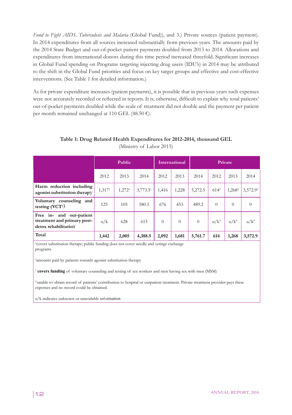*Fund to Fight AIDS, Tuberculosis and Malaria* (Global Fund)), and 3.) Private sources (patient payment). In 2014 expenditures from all sources increased substantially from previous years. The amounts paid by the 2014 State Budget and out-of-pocket patient payments doubled from 2013 to 2014. Allocations and expenditures from international donors during this time period increased threefold. Significant increases in Global Fund spending on Programs targeting injecting drug users (IDU's) in 2014 may be attributed to the shift in the Global Fund priorities and focus on key target groups and effective and cost-effective interventions. (See Table 1 for detailed information.)

As for private expenditure increases (patient payments), it is possible that in previous years such expenses were not accurately recorded or reflected in reports. It is, otherwise, difficult to explain why total patients' out-of-pocket payments doubled while the scale of treatment did not double and the payment per patient per month remained unchanged at 110 GEL (48.50 €).

# **Table 1: Drug Related Health Expenditures for 2012-2014, thousand GEL**

|                                                                                    | Public             |                    |                      | International |                | Private  |           |                    |          |
|------------------------------------------------------------------------------------|--------------------|--------------------|----------------------|---------------|----------------|----------|-----------|--------------------|----------|
|                                                                                    | 2012               | 2013               | 2014                 | 2012          | 2013           | 2014     | 2012      | 2013               | 2014     |
| Harm reduction including<br>agonist substitution therapy                           | 1,317 <sup>1</sup> | 1,272 <sup>1</sup> | 3,773.5 <sup>1</sup> | 1,416         | 1,228          | 5,272.5  | $614^{2}$ | 1,268 <sup>2</sup> | 3,572.92 |
| Voluntary counseling and<br>testing $(VCT)$ <sup>3</sup>                           | 125                | 105                | 580.5                | 676           | 453            | 489.2    | $\theta$  | $\Omega$           | $\theta$ |
| in- and out-patient<br>Free<br>treatment and primary post-<br>detox rehabilitation | u/k                | 628                | 615                  | $\theta$      | $\overline{0}$ | $\theta$ | $u/k^4$   | $u/k^4$            | $u/k^4$  |
| Total                                                                              | 1,442              | 2,005              | 4,388.5              | 2,092         | 1,681          | 5,761.7  | 614       | 1,268              | 3,572.9  |

(Ministry of Labor 2015)

1 covers substitution therapy; public funding does not cover needle and syringe exchange programs

2 amounts paid by patients towards agonist substitution therapy

<sup>3</sup> **covers funding** of voluntary counseling and testing of sex workers and men having sex with men (MSM)

<sup>4</sup>unable to obtain record of patients' contribution to hospital or outpatient treatment. Private treatment provider pays these expenses and no record could be obtained.

u/k indicates unknown or unavailable information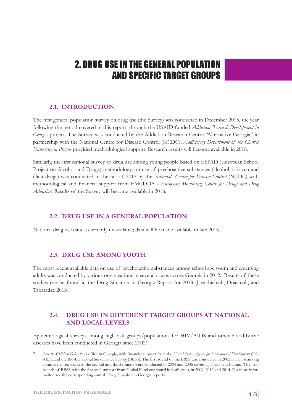# 2. DRUG USE IN THE GENERAL POPULATION AND SPECIFIC TARGET GROUPS

# **2.1. INTRODUCTION**

The first general population survey on drug use (the Survey) was conducted in December 2015, the year following the period covered in this report, through the USAID-funded *Addiction Research Development in Georg*ia project. The Survey was conducted by the Addiction Research Centre "Alternative Georgia" in partnership with the National Centre for Disease Control (NCDC); *Addictology Department of the Charles University in Prague* provided methodological support. Research results will become available in 2016.

Similarly, the first national survey of drug use among young people based on ESPAD (European School Project on Alcohol and Drugs) methodology, on use of psychoactive substances (alcohol, tobacco and illicit drugs) was conducted in the fall of 2015 by the *National Centre for Disease Control* (NCDC) with methodological and financial support from EMCDDA - *European Monitoring Centre for Drugs and Drug Addiction*. Results of the Survey will become available in 2016.

# **2.2. DRUG USE IN A GENERAL POPULATION**

National drug use data is currently unavailable; data will be made available in late 2016.

# **2.3. DRUG USE AMONG YOUTH**

The most recent available data on use of psychoactive substances among school age youth and emerging adults was conducted by various organizations in several towns across Georgia in 2012. Results of these studies can be found in the Drug Situation in Georgia Report for 2013 (Javakhishvili, Otiashvili, and Tabatadze 2013).

# **2.4. DRUG USE IN DIFFERENT TARGET GROUPS AT NATIONAL AND LOCAL LEVELS**

Epidemiological surveys among high-risk groups/populations for HIV/AIDS and other blood-borne diseases have been conducted in Georgia since 2002<sup>7</sup> .

<sup>7</sup> *Save the Children Federation's* office in Georgia, with financial support from the *United States Agency for International Development* (US-AID), and the Bio-Behavioral Surveillance Survey (BBSS). The first round of the BBSS was conducted in 2002 in Tbilisi among commercial sex workers, the second and third rounds were conducted in 2004 and 2006 covering Tbilisi and Batumi. The next rounds of BBSS, with the financial support from Global Fund continued in both cities, in 2009, 2012 and 2014. For more information see the corresponding annual Drug Situation in Georgia reports.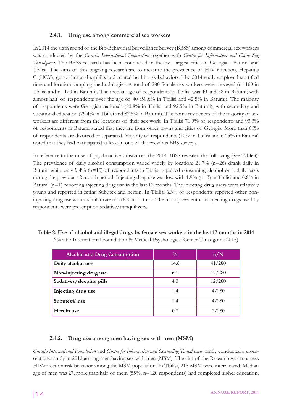## **2.4.1. Drug use among commercial sex workers**

In 2014 the sixth round of the Bio-Behavioral Surveillance Survey (BBSS) among commercial sex workers was conducted by the *Curatio International Foundation* together with *Centre for Information and Counseling Tanadgoma.* The BBSS research has been conducted in the two largest cities in Georgia - Batumi and Tbilisi. The aims of this ongoing research are to measure the prevalence of HIV infection, Hepatitis C (HCV), gonorrhea and syphilis and related health risk behaviors. The 2014 study employed stratified time and location sampling methodologies. A total of 280 female sex workers were surveyed (n=160 in Tbilisi and n=120 in Batumi). The median age of respondents in Tbilisi was 40 and 38 in Batumi; with almost half of respondents over the age of 40 (50.6% in Tbilisi and 42.5% in Batumi). The majority of respondents were Georgian nationals (83.8% in Tbilisi and 92.5% in Batumi), with secondary and vocational education (79.4% in Tbilisi and 82.5% in Batumi). The home residences of the majority of sex workers are different from the locations of their sex work. In Tbilisi 71.9% of respondents and 93.3% of respondents in Batumi stated that they are from other towns and cities of Georgia. More than 60% of respondents are divorced or separated. Majority of respondents (70% in Tbilisi and 67.5% in Batumi) noted that they had participated at least in one of the previous BBS surveys.

In reference to their use of psychoactive substances, the 2014 BBSS revealed the following (See Table3): The prevalence of daily alcohol consumption varied widely by location; 21.7% (n=26) drank daily in Batumi while only 9.4% (n=15) of respondents in Tbilisi reported consuming alcohol on a daily basis during the previous 12 month period. Injecting drug use was low with 1.9% (n=3) in Tbilisi and 0.8% in Batumi (n=1) reporting injecting drug use in the last 12 months. The injecting drug users were relatively young and reported injecting Subutex and heroin. In Tbilisi 6.3% of respondents reported other noninjecting drug use with a similar rate of 5.8% in Batumi. The most prevalent non-injecting drugs used by respondents were prescription sedative/tranquilizers.

| <b>Alcohol and Drug Consumption</b> | $\frac{0}{0}$ | n/N    |
|-------------------------------------|---------------|--------|
| Daily alcohol use                   | 14.6          | 41/280 |
| Non-injecting drug use              | 6.1           | 17/280 |
| Sedatives/sleeping pills            | 4.3           | 12/280 |
| Injecting drug use                  | 1.4           | 4/280  |
| Subutex $\mathbb{R}$ use            | 1.4           | 4/280  |
| Heroin use                          | 0.7           | 2/280  |

# **Table 2: Use of alcohol and illegal drugs by female sex workers in the last 12 months in 2014**  (Curatio International Foundation & Medical-Psychological Center Tanadgoma 2015)

# **2.4.2. Drug use among men having sex with men (MSM)**

*Curatio International Foundation* and *Centre for Information and Counseling Tanadgoma* jointly conducted a crosssectional study in 2012 among men having sex with men (MSM). The aim of the Research was to assess HIV-infection risk behavior among the MSM population. In Tbilisi, 218 MSM were interviewed. Median age of men was 27, more than half of them (55%, n=120 respondents) had completed higher education,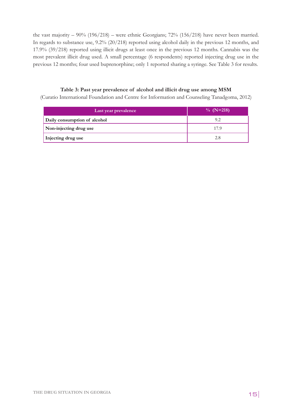the vast majority – 90% (196/218) – were ethnic Georgians; 72% (156/218) have never been married. In regards to substance use, 9.2% (20/218) reported using alcohol daily in the previous 12 months, and 17.9% (39/218) reported using illicit drugs at least once in the previous 12 months. Cannabis was the most prevalent illicit drug used. A small percentage (6 respondents) reported injecting drug use in the previous 12 months; four used buprenorphine; only 1 reported sharing a syringe. See Table 3 for results.

# **Table 3: Past year prevalence of alcohol and illicit drug use among MSM**  (Curatio International Foundation and Centre for Information and Counseling Tanadgoma, 2012)

| Last year prevalence         | $\%$ (N=218) |
|------------------------------|--------------|
| Daily consumption of alcohol | 9.2          |
| Non-injecting drug use       | 17.9         |
| Injecting drug use           | 2.8          |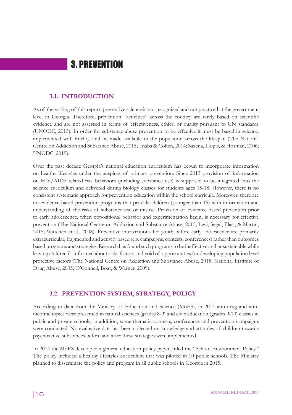# 3. PREVENTION

### **3.1. INTRODUCTION**

As of the writing of this report, preventive science is not recognized and not practiced at the government level in Georgia. Therefore, prevention "activities" across the country are rarely based on scientific evidence and are not assessed in terms of effectiveness, ethics, or quality pursuant to UN standards (UNODC, 2015). In order for substance abuse prevention to be effective it must be based in science, implemented with fidelity, and be made available to the population across the lifespan (The National Centre on Addiction and Substance Abuse, 2015; Inaba & Cohen, 2014; Saxena, Llopis, & Hosman, 2006; UNODC, 2015).

Over the past decade Georgia's national education curriculum has begun to incorporate information on healthy lifestyles under the auspices of primary prevention. Since 2013 provision of information on HIV/AIDS related risk behaviors (including substance use) is supposed to be integrated into the science curriculum and delivered during biology classes for students ages 15-18. However, there is no consistent systematic approach for prevention education within the school curricula. Moreover, there are no evidence-based prevention programs that provide children (younger than 15) with information and understanding of the risks of substance use or misuse. Provision of evidence based prevention prior to early adolescence, when oppositional behavior and experimentation begin, is necessary for effective prevention (The National Centre on Addiction and Substance Abuse, 2015; Levi, Segal, Blasi, & Martin, 2015; Wittchen et al., 2008). Preventive interventions for youth before early adolescence are primarily extracurricular, fragmented and activity based (e.g. campaigns, contests, conferences) rather than outcomes based programs and strategies. Research has found such programs to be ineffective and unsustainable while leaving children ill-informed about risks factors and void of opportunities for developing population level protective factors (The National Centre on Addiction and Substance Abuse, 2015; National Institute of Drug Abuse, 2003; O'Connell, Boat, & Warner, 2009).

# **3.2. PREVENTION SYSTEM, STRATEGY, POLICY**

According to data from the Ministry of Education and Science (MoES), in 2014 anti-drug and antinicotine topics were presented in natural sciences (grades 8-9) and civic education (grades 9-10) classes in public and private schools; in addition, some thematic contests, conferences and prevention campaigns were conducted. No evaluative data has been collected on knowledge and attitudes of children towards psychoactive substances before and after these strategies were implemented.

In 2014 the MoES developed a general education policy paper, titled the "School Environment Policy." The policy included a healthy lifestyles curriculum that was piloted in 10 public schools. The Ministry planned to disseminate the policy and program in all public schools in Georgia in 2015.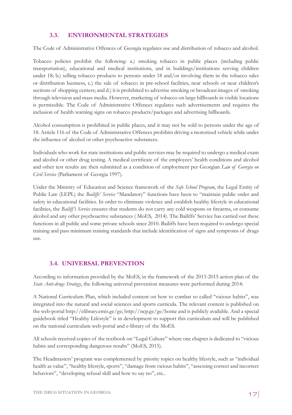# **3.3. ENVIRONMENTAL STRATEGIES**

The Code of Administrative Offences of Georgia regulates use and distribution of tobacco and alcohol.

Tobacco policies prohibit the following: a.) smoking tobacco in public places (including public transportation), educational and medical institutions, and in buildings/institutions serving children under 18; b.) selling tobacco products to persons under 18 and/or involving them in the tobacco sales or distribution business, c.) the sale of tobacco in pre-school facilities, near schools or near children's sections of shopping centers; and d.) it is prohibited to advertise smoking or broadcast images of smoking through television and mass media. However, marketing of tobacco on large billboards in visible locations is permissible. The Code of Administrative Offences regulates such advertisements and requires the inclusion of health warning signs on tobacco products/packages and advertising billboards.

Alcohol consumption is prohibited in public places, and it may not be sold to persons under the age of 18. Article 116 of the Code of Administrative Offences prohibits driving a motorized vehicle while under the influence of alcohol or other psychoactive substances.

Individuals who work for state institutions and public services may be required to undergo a medical exam and alcohol or other drug testing. A medical certificate of the employees' health conditions and alcohol and other test results are then submitted as a condition of employment per Georgian *Law of Georgia on Civil Service* (Parliament of Georgia 1997).

Under the Ministry of Education and Science framework of the *Safe School Program*, the Legal Entity of Public Law (LEPL) the *Bailiffs' Service* "Mandatory" functions have been to "maintain public order and safety in educational facilities. In order to eliminate violence and establish healthy lifestyle in educational facilities, the *Bailiff's Service* ensures that students do not carry any cold weapons or firearms, or consume alcohol and any other psychoactive substances ( MoES, 2014). The Bailiffs' Service has carried out these functions in all public and some private schools since 2010. Bailiffs have been required to undergo special training and pass minimum training standards that include identification of signs and symptoms of drugs use.

# **3.4. UNIVERSAL PREVENTION**

According to information provided by the MoES, in the framework of the 2013-2015 action plan of the *State Anti-drugs Strategy*, the following universal prevention measures were performed during 2014:

A National Curriculum Plan, which included content on how to combat so called "vicious habits", was integrated into the natural and social sciences and sports curricula. The relevant content is published on the web-portal http://elibrary.emis.ge/ge; http://ncp.ge/ge/home and is publicly available. And a special guidebook titled "Healthy Lifestyle" is in development to support this curriculum and will be published on the national curriculum web-portal and e-library of the MoES.

All schools received copies of the textbook on "Legal Culture" where one chapter is dedicated to "vicious habits and corresponding dangerous results" (MoES, 2015).

The Headmasters' program was complemented by priority topics on healthy lifestyle, such as "individual health as value", "healthy lifestyle, sports", "damage from vicious habits", "assessing correct and incorrect behaviors", "developing refusal skill and how to say no", etc..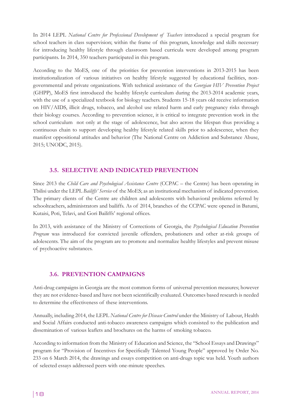In 2014 LEPL *National Centre for Professional Development of Teachers* introduced a special program for school teachers in class supervision; within the frame of this program, knowledge and skills necessary for introducing healthy lifestyle through classroom based curricula were developed among program participants. In 2014, 350 teachers participated in this program.

According to the MoES, one of the priorities for prevention interventions in 2013-2015 has been institutionalization of various initiatives on healthy lifestyle suggested by educational facilities, nongovernmental and private organizations. With technical assistance of the *Georgian HIV Prevention Project* (GHPP), MoES first introduced the healthy lifestyle curriculum during the 2013-2014 academic years, with the use of a specialized textbook for biology teachers. Students 15-18 years old receive information on HIV/AIDS, illicit drugs, tobacco, and alcohol use related harm and early pregnancy risks through their biology courses. According to prevention science, it is critical to integrate prevention work in the school curriculum not only at the stage of adolescence, but also across the lifespan thus providing a continuous chain to support developing healthy lifestyle related skills prior to adolescence, when they manifest oppositional attitudes and behavior (The National Centre on Addiction and Substance Abuse, 2015; UNODC, 2015).

# **3.5. SELECTIVE AND INDICATED PREVENTION**

Since 2013 the *Child Care and Psychological Assistance Centre* (CCPAC – the Centre) has been operating in Tbilisi under the LEPL *Bailiffs' Service* of the MoES; as an institutional mechanism of indicated prevention. The primary clients of the Centre are children and adolescents with behavioral problems referred by schoolteachers, administrators and bailiffs. As of 2014, branches of the CCPAC were opened in Batumi, Kutaisi, Poti, Telavi, and Gori Bailiffs' regional offices.

In 2013, with assistance of the Ministry of Corrections of Georgia, the *Psychological Education Prevention Program* was introduced for convicted juvenile offenders, probationers and other at-risk groups of adolescents. The aim of the program are to promote and normalize healthy lifestyles and prevent misuse of psychoactive substances.

# **3.6. PREVENTION CAMPAIGNS**

Anti-drug campaigns in Georgia are the most common forms of universal prevention measures; however they are not evidence-based and have not been scientifically evaluated. Outcomes based research is needed to determine the effectiveness of these interventions.

Annually, including 2014, the LEPL *National Centre for Disease Control* under the Ministry of Labour, Health and Social Affairs conducted anti-tobacco awareness campaigns which consisted to the publication and dissemination of various leaflets and brochures on the harms of smoking tobacco.

According to information from the Ministry of Education and Science, the "School Essays and Drawings" program for "Provision of Incentives for Specifically Talented Young People" approved by Order No. 233 on 6 March 2014, the drawings and essays competition on anti-drugs topic was held. Youth authors of selected essays addressed peers with one-minute speeches.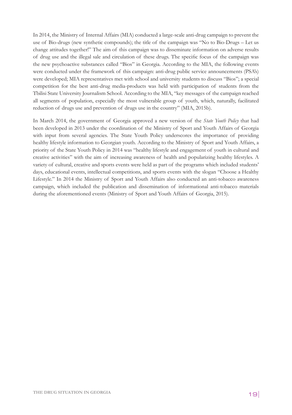In 2014, the Ministry of Internal Affairs (MIA) conducted a large-scale anti-drug campaign to prevent the use of Bio-drugs (new synthetic compounds); the title of the campaign was "No to Bio-Drugs – Let us change attitudes together!" The aim of this campaign was to disseminate information on adverse results of drug use and the illegal sale and circulation of these drugs. The specific focus of the campaign was the new psychoactive substances called "Bios" in Georgia. According to the MIA, the following events were conducted under the framework of this campaign: anti-drug public service announcements (PSA's) were developed; MIA representatives met with school and university students to discuss "Bios"; a special competition for the best anti-drug media-products was held with participation of students from the Tbilisi State University Journalism School. According to the MIA, "key messages of the campaign reached all segments of population, especially the most vulnerable group of youth, which, naturally, facilitated reduction of drugs use and prevention of drugs use in the country" (MIA, 2015b).

In March 2014, the government of Georgia approved a new version of the *State Youth Policy* that had been developed in 2013 under the coordination of the Ministry of Sport and Youth Affairs of Georgia with input from several agencies. The State Youth Policy underscores the importance of providing healthy lifestyle information to Georgian youth. According to the Ministry of Sport and Youth Affairs, a priority of the State Youth Policy in 2014 was "healthy lifestyle and engagement of youth in cultural and creative activities" with the aim of increasing awareness of health and popularizing healthy lifestyles. A variety of cultural, creative and sports events were held as part of the programs which included students' days, educational events, intellectual competitions, and sports events with the slogan "Choose a Healthy Lifestyle." In 2014 the Ministry of Sport and Youth Affairs also conducted an anti-tobacco awareness campaign, which included the publication and dissemination of informational anti-tobacco materials during the aforementioned events (Ministry of Sport and Youth Affairs of Georgia, 2015).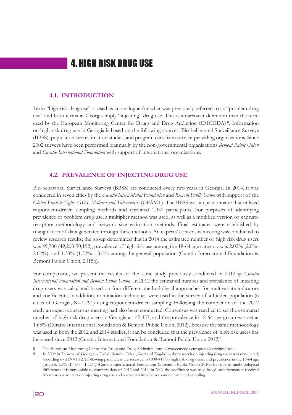# 4. HIGH RISK DRUG USE

### **4.1. INTRODUCTION**

Term "high risk drug use" is used as an analogue for what was previously referred to as "problem drug use" and both terms in Georgia imply "injecting" drug use. This is a narrower definition than the term used by the European Monitoring Center for Drugs and Drug Addiction (EMCDDA) <sup>8</sup> . Information on high-risk drug use in Georgia is based on the following sources: Bio-behavioral Surveillance Surveys (BBSS), population size estimation studies, and program data from service-providing organizations. Since 2002 surveys have been performed biannually by the non-governmental organizations *Bemoni Public Union*  and *Curatio International Foundation* with support of international organizations.

### **4.2. PREVALENCE OF INJECTING DRUG USE**

Bio-behavioral Surveillance Surveys (BBSS) are conducted every two years in Georgia. In 2014, it was conducted in seven cities by the *Curatio International Foundation* and *Bemoni Public Union* with support of the *Global Fund to Fight AIDS, Malaria and Tuberculosis* (GFAMT). The BBSS was a questionnaire that utilized respondent-driven sampling methods and recruited 1,951 participants. For purposes of identifying prevalence of problem drug use, a multiplier method was used, as well as a modified version of capturerecapture methodology and network size estimation methods. Final estimates were established by triangulation of data generated through these methods. An experts' consensus meeting was conducted to review research results; the group determined that in 2014 the estimated number of high risk drug users was 49,700 (49,208-50,192), prevalence of high risk use among the 18-64 age category was 2.02% (2.0%- 2.04%), and 1.33% (1.32%-1.35%) among the general population (Curatio International Foundation & Bemoni Public Union, 2015b).

For comparison, we present the results of the same study previously conducted in 2012 *by Curatio International Foundation and Bemoni Public Union*. In 2012 the estimated number and prevalence of injecting drug users was calculated based on four different methodoligcal approaches for multivariate indicators and coefficients; in addition, nomination techniques were used in the survey of a hidden population (6 cities of Georgia, N=1,791) using respondent-driven sampling. Following the completion of the 2012 study an expert consensus meeting had also been conducted. Consensus was reached to set the estimated number of high risk drug users in Georgia at 45,457, and the prevalence in 18-64 age group was set at 1.65% (Curatio International Foundation & Bemoni Public Union, 2012). Because the same methodology was used in both the 2012 and 2014 studies, it can be concluded that the prevalence of high risk users has increased since 2012 (Curatio International Foundation & Bemoni Public Union 2012)<sup>9</sup> .

<sup>8</sup> The European Monitoring Centre for Drugs and Drug Addiction, http://www.emcdda.europa.eu/activities/hrdu

<sup>9</sup> In 2009 in 5 towns of Georgia – Tbilisi, Batumi, Telavi, Gori and Zugdidi – the research on injecting drug users was conducted; according to it (N=1 127) following parameters are received: 39 000-41 000 high risk drug users, and prevalence in the 18-64 age group is 1.5% (1.48% - 1.52%) (Curatio International Foundation & Bemoni Public Union 2010); but due to methodological differences it is impossible to compare data of 2012 and 2014: in 2009 the coefficient was used based on information received from various sources on injecting drug use and a research implied respondent oriented sampling.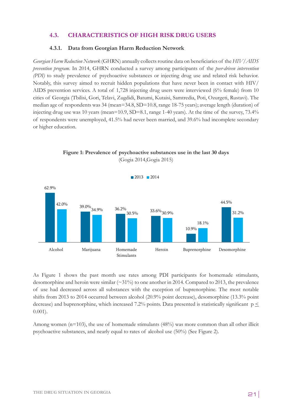# **4.3. CHARACTERISTICS OF HIGH RISK DRUG USERS**

#### **4.3.1. Data from Georgian Harm Reduction Network**

*Georgian Harm Reduction Network* (GHRN) annually collects routine data on beneficiaries of the *HIV/AIDS prevention program*. In 2014, GHRN conducted a survey among participants of the *peer-driven intervention (PDI)* to study prevalence of psychoactive substances or injecting drug use and related risk behavior. Notably, this survey aimed to recruit hidden populations that have never been in contact with HIV/ AIDS prevention services. A total of 1,728 injecting drug users were interviewed (6% female) from 10 cities of Georgia (Tbilisi, Gori, Telavi, Zugdidi, Batumi, Kutaisi, Samtredia, Poti, Ozurgeti, Rustavi). The median age of respondents was 34 (mean=34.8, SD=10.8, range 18-75 years); average length (duration) of injecting drug use was 10 years (mean=10.9,  $SD=8.1$ , range 1-40 years). At the time of the survey,  $73.4\%$ of respondents were unemployed, 41.5% had never been married, and 39.6% had incomplete secondary or higher education.



**Figure 1: Prevalence of psychoactive substances use in the last 30 days** (Gogia 2014,Gogia 2015)

As Figure 1 shows the past month use rates among PDI participants for homemade stimulants, desomorphine and heroin were similar  $(\sim 31\%)$  to one another in 2014. Compared to 2013, the prevalence of use had decreased across all substances with the exception of buprenorphine. The most notable shifts from 2013 to 2014 occurred between alcohol (20.9% point decrease), desomorphine (13.3% point decrease) and buprenorphine, which increased 7.2% points. Data presented is statistically significant  $p \leq$ 0.001).

Among women  $(n=103)$ , the use of homemade stimulants  $(48%)$  was more common than all other illicit psychoactive substances, and nearly equal to rates of alcohol use (50%) (See Figure 2).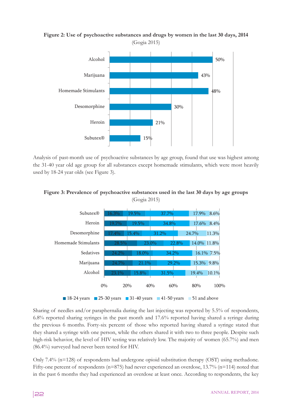**Figure 2: Use of psychoactive substances and drugs by women in the last 30 days, 2014** (Gogia 2015)



Analysis of past-month use of psychoactive substances by age group, found that use was highest among the 31-40 year old age group for all substances except homemade stimulants, which were most heavily used by 18-24 year olds (see Figure 3).





Sharing of needles and/or paraphernalia during the last injecting was reported by 5.5% of respondents, 6.8% reported sharing syringes in the past month and 17.6% reported having shared a syringe during the previous 6 months. Forty-six percent of those who reported having shared a syringe stated that they shared a syringe with one person, while the others shared it with two to three people. Despite such high-risk behavior, the level of HIV testing was relatively low. The majority of women (65.7%) and men (86.4%) surveyed had never been tested for HIV.

Only 7.4% (n=128) of respondents had undergone opioid substitution therapy (OST) using methadone. Fifty-one percent of respondents (n=875) had never experienced an overdose,  $13.7\%$  (n=114) noted that in the past 6 months they had experienced an overdose at least once. According to respondents, the key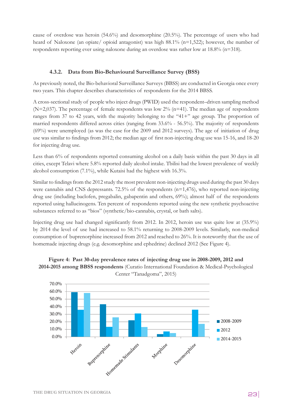cause of overdose was heroin (54.6%) and desomorphine (20.5%). The percentage of users who had heard of Naloxone (an opiate/ opioid antagonist) was high 88.1% (n=1,522); however, the number of respondents reporting ever using naloxone during an overdose was rather low at 18.8% (n=318).

# **4.3.2. Data from Bio-Behavioural Surveillance Survey (BSS)**

As previously noted, the Bio-behavioral Surveillance Surveys (BBSS) are conducted in Georgia once every two years. This chapter describes characteristics of respondents for the 2014 BBSS.

A cross-sectional study of people who inject drugs (PWID) used the respondent–driven sampling method  $(N=2,037)$ . The percentage of female respondents was low  $2\%$  (n=41). The median age of respondents ranges from 37 to 42 years, with the majority belonging to the "41+" age group. The proportion of married respondents differed across cities (ranging from 33.6% - 56.5%). The majority of respondents (69%) were unemployed (as was the case for the 2009 and 2012 surveys). The age of initiation of drug use was similar to findings from 2012; the median age of first non-injecting drug use was 15-16, and 18-20 for injecting drug use.

Less than 6% of respondents reported consuming alcohol on a daily basis within the past 30 days in all cities, except Telavi where 5.8% reported daily alcohol intake. Tbilisi had the lowest prevalence of weekly alcohol consumption (7.1%), while Kutaisi had the highest with 16.3%.

Similar to findings from the 2012 study the most prevalent non-injecting drugs used during the past 30 days were cannabis and CNS depressants.  $72.5\%$  of the respondents (n=1,476), who reported non-injecting drug use (including baclofen, pregabalin, gabapentin and others, 69%); almost half of the respondents reported using hallucinogens. Ten percent of respondents reported using the new synthetic psychoactive substances referred to as "bios" (synthetic/bio-cannabis, crystal, or bath salts).

Injecting drug use had changed significantly from 2012. In 2012, heroin use was quite low at (35.9%) by 2014 the level of use had increased to 58.1% returning to 2008-2009 levels. Similarly, non-medical consumption of buprenorphine increased from 2012 and reached to 26%. It is noteworthy that the use of homemade injecting drugs (e.g. desomorphine and ephedrine) declined 2012 (See Figure 4).



**Figure 4: Past 30-day prevalence rates of injecting drug use in 2008-2009, 2012 and 2014-2015 among BBSS respondents** (Curatio International Foundation & Medical-Psychological Center "Tanadgoma", 2015)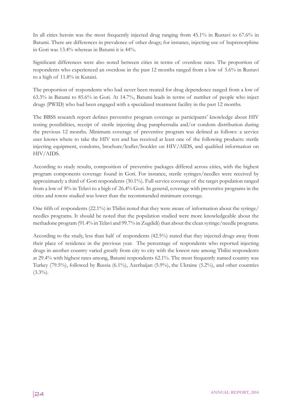In all cities heroin was the most frequently injected drug ranging from 45.1% in Rustavi to 67.6% in Batumi. There are differences in prevalence of other drugs; for instance, injecting use of buprenorphine in Gori was 13.4% whereas in Batumi it is 44%.

Significant differences were also noted between cities in terms of overdose rates. The proportion of respondents who experienced an overdose in the past 12 months ranged from a low of 5.6% in Rustavi to a high of 11.8% in Kutaisi.

The proportion of respondents who had never been treated for drug dependence ranged from a low of 63.3% in Batumi to 85.6% in Gori. At 14.7%, Batumi leads in terms of number of people who inject drugs (PWID) who had been engaged with a specialized treatment facility in the past 12 months.

The BBSS research report defines preventive program coverage as participants' knowledge about HIV testing possibilities, receipt of sterile injecting drug paraphernalia and/or condom distribution during the previous 12 months. Minimum coverage of preventive program was defined as follows: a service user knows where to take the HIV test and has received at least one of the following products: sterile injecting equipment, condoms, brochure/leaflet/booklet on HIV/AIDS, and qualified information on HIV/AIDS.

According to study results, composition of preventive packages differed across cities, with the highest program components coverage found in Gori. For instance, sterile syringes/needles were received by approximately a third of Gori respondents (30.1%). Full service coverage of the target population ranged from a low of 8% in Telavi to a high of 26.4% Gori. In general, coverage with preventive programs in the cities and towns studied was lower than the recommended minimum coverage.

One fifth of respondents (22.1%) in Tbilisi noted that they were aware of information about the syringe/ needles programs. It should be noted that the population studied were more knowledgeable about the methadone program (91.4% in Telavi and 99.7% in Zugdidi) than about the clean syringe/needle programs.

According to the study, less than half of respondents (42.5%) stated that they injected drugs away from their place of residence in the previous year. The percentage of respondents who reported injecting drugs in another country varied greatly from city to city with the lowest rate among Tbilisi respondents at 29.4% with highest rates among, Batumi respondents 62.1%. The most frequently named country was Turkey (79.5%), followed by Russia (6.1%), Azerbaijan (5.9%), the Ukraine (5.2%), and other countries  $(3.3\%)$ .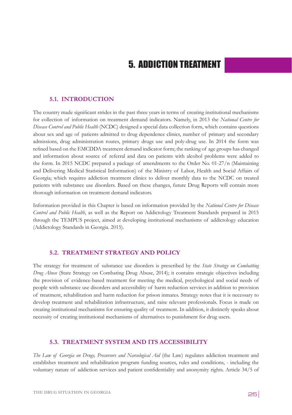# 5. ADDICTION TREATMENT

### **5.1. INTRODUCTION**

The country made significant strides in the past three years in terms of creating institutional mechanisms for collection of information on treatment demand indicators. Namely, in 2013 the *National Centre for Disease Control and Public Health* (NCDC) designed a special data collection form, which contains questions about sex and age of patients admitted to drug dependence clinics, number of primary and secondary admissions, drug administration routes, primary drugs use and poly-drug use. In 2014 the form was refined based on the EMCDDA treatment demand indicator form; the ranking of age groups has changed and information about source of referral and data on patients with alcohol problems were added to the form. In 2015 NCDC prepared a package of amendments to the Order No. 01-27/n (Maintaining and Delivering Medical Statistical Information) of the Ministry of Labor, Health and Social Affairs of Georgia; which requires addiction treatment clinics to deliver monthly data to the NCDC on treated patients with substance use disorders. Based on these changes, future Drug Reports will contain more thorough information on treatment demand indicators.

Information provided in this Chapter is based on information provided by the *National Centre for Disease Control and Public Health*, as well as the Report on Addictology Treatment Standards prepared in 2015 through the TEMPUS project, aimed at developing institutional mechanisms of addictology education (Addictology Standards in Georgia. 2015).

### **5.2. TREATMENT STRATEGY AND POLICY**

The strategy for treatment of substance use disorders is prescribed by the *State Strategy on Combatting Drug Abuse* (State Strategy on Combating Drug Abuse, 2014); it contains strategic objectives including the provision of evidence-based treatment for meeting the medical, psychological and social needs of people with substance use disorders and accessibility of harm reduction services in addition to provision of treatment, rehabilitation and harm reduction for prison inmates. Strategy notes that it is necessary to develop treatment and rehabilitation infrastructure, and raise relevant professionals. Focus is made on creating institutional mechanisms for ensuring quality of treatment. In addition, it distinctly speaks about necessity of creating institutional mechanisms of alternatives to punishment for drug users.

#### **5.3. TREATMENT SYSTEM AND ITS ACCESSIBILITY**

*The Law of Georgia on Drugs, Precursors and Narcological Aid* (the Law) regulates addiction treatment and establishes treatment and rehabilitation program funding sources, rules and conditions, - including the voluntary nature of addiction services and patient confidentiality and anonymity rights. Article 34/5 of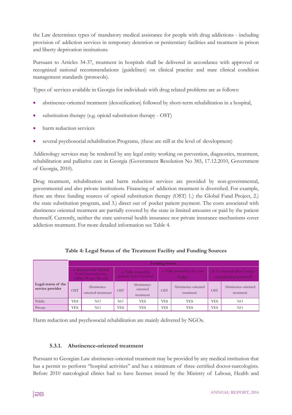the Law determines types of mandatory medical assistance for people with drug addictions - including provision of addiction services in temporary detention or penitentiary facilities and treatment in prison and liberty deprivation institutions.

Pursuant to Articles 34-37, treatment in hospitals shall be delivered in accordance with approved or recognized national recommendations (guidelines) on clinical practice and state clinical condition management standards (protocols).

Types of services available in Georgia for individuals with drug related problems are as follows:

- abstinence-oriented treatment (detoxification) followed by short-term rehabilitation in a hospital,
- substitution therapy (e.g. opioid substitution therapy OST)
- harm reduction services
- several psychosocial rehabilitation Programs, (these are still at the level of development)

Addictology services may be rendered by any legal entity working on prevention, diagnostics, treatment, rehabilitation and palliative care in Georgia (Government Resolution No 385, 17.12.2010, Government of Georgia, 2010).

Drug treatment, rehabilitation and harm reduction services are provided by non-governmental, governmental and also private institutions. Financing of addiction treatment is diversified. For example, there are three funding sources of opioid substitution therapy (OST) 1.) the Global Fund Project, 2.) the state substitution program, and 3.) direct out of pocket patient payment. The costs associated with abstinence oriented treatment are partially covered by the state in limited amounts or paid by the patient themself. Currently, neither the state universal health insurance nor private insurance mechanisms cover addiction treatment. For more detailed information see Table 4.

|                                         |            | <b>Funding Source</b>                                                                                                       |            |                                         |            |                                                         |            |                                  |  |  |
|-----------------------------------------|------------|-----------------------------------------------------------------------------------------------------------------------------|------------|-----------------------------------------|------------|---------------------------------------------------------|------------|----------------------------------|--|--|
|                                         |            | a. International (Global<br>b. Fully covered by<br>Fund for combatting<br>patients (out-of-pocket)<br>AIDS, TB and Malaria) |            | c. Fully covered by the state<br>budget |            | d. Co-payment (State budget)<br>and individual payment) |            |                                  |  |  |
| Legal status of the<br>service provider | <b>OST</b> | Abstinence-<br>oriented treatment                                                                                           | <b>OST</b> | Abstinence-<br>oriented<br>treatment    | <b>OST</b> | Abstinence-oriented<br>treatment                        | <b>OST</b> | Abstinence-oriented<br>treatment |  |  |
| Public                                  | YES        | NO.                                                                                                                         | NO.        | YES                                     | <b>YES</b> | YES                                                     | <b>YES</b> | NO.                              |  |  |
| Private                                 | YES        | NΟ                                                                                                                          | <b>YES</b> | YES                                     | <b>YES</b> | YES                                                     | <b>YES</b> | NO.                              |  |  |

#### **Table 4: Legal Status of the Treatment Facility and Funding Sources**

Harm reduction and psychosocial rehabilitation are mainly delivered by NGOs.

#### **5.3.1. Abstinence-oriented treatment**

Pursuant to Georgian Law abstinence-oriented treatment may be provided by any medical institution that has a permit to perform "hospital activities" and has a minimum of three certified doctor-narcologists. Before 2010 narcological clinics had to have licenses issued by the Ministry of Labour, Health and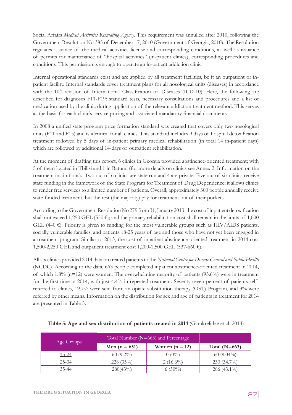Social Affairs *Medical Activities Regulating Agency*. This requirement was annulled after 2010, following the Government Resolution No 385 of December 17, 2010 (Government of Georgia, 2010). The Resolution regulates issuance of the medical activities license and corresponding conditions, as well as issuance of permits for maintenance of "hospital activities" (in-patient clinics), corresponding procedures and conditions. This permission is enough to operate an in-patient addiction clinic.

Internal operational standards exist and are applied by all treatment facilities, be it an outpatient or inpatient facility. Internal standards cover treatment plans for all nosological units (diseases) in accordance with the 10<sup>th</sup> revision of International Classification of Diseases (ICD-10). Here, the following are described for diagnoses F11-F19: standard tests, necessary consultations and procedures and a list of medication used by the clinic during application of the relevant addiction treatment method. This serves as the basis for each clinic's service pricing and associated mandatory financial documents.

In 2008 a unified state program price formation standard was created that covers only two nosological units (F11 and F15) and is identical for all clinics. This standard includes 9 days of hospital detoxification treatment followed by 5 days of in-patient primary medical rehabilitation (in total 14 in-patient days) which are followed by additional 14-days of outpatient rehabilitation.

At the moment of drafting this report, 6 clinics in Georgia provided abstinence-oriented treatment; with 5 of them located in Tbilisi and 1 in Batumi (for more details on clinics see Annex 2: Information on the treatment institutions). Two out of 6 clinics are state run and 4 are private. Five out of six clinics receive state funding in the framework of the State Program for Treatment of Drug Dependence; it allows clinics to render free services to a limited number of patients. Overall, approximately 300 people annually receive state-funded treatment, but the rest (the majority) pay for treatment out of their pockets.

According to the Government Resolution No 279 from 31, January 2013, the cost of inpatient detoxification shall not exceed 1,250 GEL (550  $\epsilon$ ); and the primary rehabilitation cost shall remain in the limits of 1,000 GEL (440  $\varepsilon$ ). Priority is given to funding for the most vulnerable groups such as HIV/AIDS patients, socially vulnerable families, and patients 18-25 years of age and those who have not yet been engaged in a treatment program. Similar to 2013, the cost of inpatient abstinence oriented treatment in 2014 cost 1,500-2,250 GEL and outpatient treatment cost 1,200-1,500 GEL (537-660 €).

All six clinics provided 2014 data on treated patients to the *National Centre for Disease Control and Public Health* (NCDC). According to the data, 663 people completed inpatient abstinence-oriented treatment in 2014, of which 1.8% (n=12) were women. The overwhelming majority of patients (95.6%) were in treatment for the first time in 2014; with just 4.4% in repeated treatment. Seventy-seven percent of patients selfreferred to clinics, 19.7% were sent from an opiate substitution therapy (OST) Program, and 3% were referred by other means. Information on the distribution for sex and age of patients in treatment for 2014 are presented in Table 5.

| Age Groups | Total Number (N=663) and Percentage |                  |                 |
|------------|-------------------------------------|------------------|-----------------|
|            | Men ( $n = 651$ )                   | Women $(n = 12)$ | Total $(N=663)$ |
| 15-24      | $60(9.2\%)$                         | $0(0\%)$         | $60(9.04\%)$    |
| $25 - 34$  | 228(35%)                            | $2(16.6\%)$      | $230(34.7\%)$   |
| $35 - 44$  | 280(43%)                            | $6(50\%)$        | $286(43.1\%)$   |

| Table 5: Age and sex distribution of patients treated in 2014 (Gamkrelidze et al. 2014) |  |  |  |
|-----------------------------------------------------------------------------------------|--|--|--|
|-----------------------------------------------------------------------------------------|--|--|--|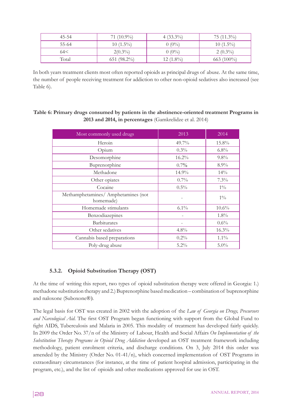| $45 - 54$ | 71 $(10.9\%)$  | $4(33.3\%)$ | $75(11.3\%)$  |
|-----------|----------------|-------------|---------------|
| 55-64     | $10(1.5\%)$    | $0(0\%)$    | $10(1.5\%)$   |
| 64<       | $2(0.3\%)$     | $0(0\%)$    | $2(0.3\%)$    |
| Total     | $651 (98.2\%)$ | $12(1.8\%)$ | $663 (100\%)$ |

In both years treatment clients most often reported opioids as principal drugs of abuse. At the same time, the number of people receiving treatment for addiction to other non-opioid sedatives also increased (see Table 6).

# **Table 6: Primary drugs consumed by patients in the abstinence-oriented treatment Programs in 2013 and 2014, in percentages** (Gamkrelidze et al. 2014)

| Most commonly used drugs                         | 2013     | 2014    |
|--------------------------------------------------|----------|---------|
| Heroin                                           | 49.7%    | 15.8%   |
| Opium                                            | 0.3%     | $6.8\%$ |
| Desomorphine                                     | $16.2\%$ | 9.8%    |
| Buprenorphine                                    | 0.7%     | $8.9\%$ |
| Methadone                                        | 14.9%    | 14%     |
| Other opiates                                    | $0.7\%$  | 7.3%    |
| Cocaine                                          | $0.5\%$  | $1\%$   |
| Methamphetamines/ Amphetamines (not<br>homemade) |          | $1\%$   |
| Homemade stimulants                              | $6.1\%$  | 10.6%   |
| Benzodiazepines                                  |          | 1.8%    |
| <b>Barbiturates</b>                              |          | $0.6\%$ |
| Other sedatives                                  | 4.8%     | 16.3%   |
| Cannabis based preparations                      | 0.2%     | $1.1\%$ |
| Poly-drug abuse                                  | $5.2\%$  | $5.0\%$ |

# **5.3.2. Opioid Substitution Therapy (OST)**

At the time of writing this report, two types of opioid substitution therapy were offered in Georgia: 1.) methadone substitution therapy and 2.) Buprenorphine based medication – combination of buprenorphine and naloxone (Suboxone®).

The legal basis for OST was created in 2002 with the adoption of the *Law of Georgia on Drugs, Precursors and Narcological Aid*. The first OST Program began functioning with support from the Global Fund to fight AIDS, Tuberculosis and Malaria in 2005. This modality of treatment has developed fairly quickly. In 2009 the Order No. 37/n of the Ministry of Labour, Health and Social Affairs *On Implementation of the Substitution Therapy Programs in Opioid Drug Addiction* developed an OST treatment framework including methodology, patient enrolment criteria, and discharge conditions. On 3, July 2014 this order was amended by the Ministry (Order No.  $01-41/n$ ), which concerned implementation of OST Programs in extraordinary circumstances (for instance, at the time of patient hospital admission, participating in the program, etc.), and the list of opioids and other medications approved for use in OST.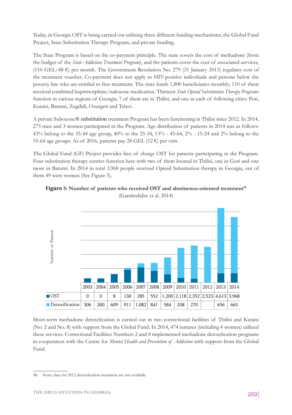Today, in Georgia OST is being carried out utilizing three different funding mechanisms; the Global Fund Project, State Substitution Therapy Program, and private funding.

The State Program is based on the co-payment principle. The state covers the cost of methadone (from the budget of the *State Addiction Treatment Program*), and the patients cover the cost of associated services, (110 GEL/48  $\epsilon$ ) per month. The Government Resolution No. 279 (31 January 2013) regulates cost of the treatment voucher. Co-payment does not apply to HIV-positive individuals and persons below the poverty line who are entitled to free treatment. The state funds 1,800 beneficiaries monthly; 110 of them received combined buprenorphine/naloxone medication. Thirteen *State Opioid Substitution Therapy Programs* function in various regions of Georgia; 7 of them are in Tbilisi, and one in each of following cities: Poti, Kutaisi, Batumi, Zugdidi, Ozurgeti and Telavi.

A private Suboxone® substitution treatment Program has been functioning in Tbilisi since 2012. In 2014, 275 men and 3 women participated in the Program. Age distribution of patients in 2014 was as follows: 43% belong to the 35-44 age group, 40% to the 25-34, 13% - 45-64, 2% - 15-24 and 2% belong to the 55-64 age groups. As of 2016, patients pay 28 GEL (12  $\epsilon$ ) per visit.

The Global Fund (GF) Project provides free of charge OST for patients participating in the Program. Four substitution therapy centres function here with two of them located in Tbilisi, one in Gori and one more in Batumi. In 2014 in total 3,968 people received Opioid Substitution therapy in Georgia, out of them 49 were women (See Figure 5).



# **Figure 5: Number of patients who received OST and abstinence-oriented treatment<sup>10</sup>** (Gamkrelidze et al. 2014)

Short-term methadone detoxification is carried out in two correctional facilities of Tbilisi and Kutaisi (No. 2 and No. 8) with support from the Global Fund. In 2014, 474 inmates (including 4 women) utilized these services. Correctional Facilities Numbers 2 and 8 implemented methadone detoxification programs in cooperation with the Centre for *Mental Health and Prevention of Addiction* with support from the Global Fund.

80

<sup>10</sup> Note: data for 2012 detoxification treatment are not available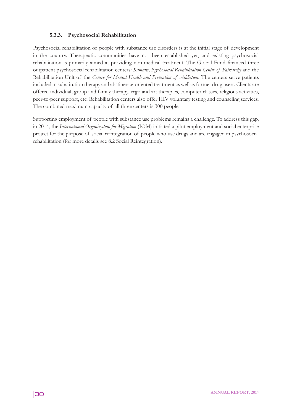## **5.3.3. Psychosocial Rehabilitation**

Psychosocial rehabilitation of people with substance use disorders is at the initial stage of development in the country. Therapeutic communities have not been established yet, and existing psychosocial rehabilitation is primarily aimed at providing non-medical treatment. The Global Fund financed three outpatient psychosocial rehabilitation centers: *Kamara*, *Psychosocial Rehabilitation Centre of Patriarchy* and the Rehabilitation Unit of the *Centre for Mental Health and Prevention of Addiction*. The centers serve patients included in substitution therapy and abstinence-oriented treatment as well as former drug users. Clients are offered individual, group and family therapy, ergo and art therapies, computer classes, religious activities, peer-to-peer support, etc. Rehabilitation centers also offer HIV voluntary testing and counseling services. The combined maximum capacity of all three centers is 300 people.

Supporting employment of people with substance use problems remains a challenge. To address this gap, in 2014, the *International Organization for Migration* (IOM) initiated a pilot employment and social enterprise project for the purpose of social reintegration of people who use drugs and are engaged in psychosocial rehabilitation (for more details see 8.2 Social Reintegration).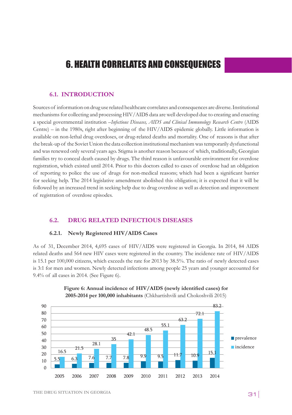# 6. HEALTH CORRELATES AND CONSEQUENCES

#### **6.1. INTRODUCTION**

Sources of information on drug use related healthcare correlates and consequences are diverse. Institutional mechanisms for collecting and processing HIV/AIDS data are well developed due to creating and enacting a special governmental institution *–Infectious Diseases, AIDS and Clinical Immunology Research Centre* (AIDS Centre) - in the 1980s, right after beginning of the HIV/AIDS epidemic globally. Little information is available on non-lethal drug overdoses, or drug-related deaths and mortality. One of reasons is that after the break-up of the Soviet Union the data collection institutional mechanism was temporarily dysfunctional and was renewed only several years ago. Stigma is another reason because of which, traditionally, Georgian families try to conceal death caused by drugs. The third reason is unfavourable environment for overdose registration, which existed until 2014. Prior to this doctors called to cases of overdose had an obligation of reporting to police the use of drugs for non-medical reasons; which had been a significant barrier for seeking help. The 2014 legislative amendment abolished this obligation; it is expected that it will be followed by an increased trend in seeking help due to drug overdose as well as detection and improvement of registration of overdose episodes. n<br>n<br>t<br>d<br>n

### **6.2. DRUG RELATED INFECTIOUS DISEASES**

#### **6.2.1.** Newly Registered HIV/AIDS Cases

As of 31, December 2014, 4,695 cases of HIV/AIDS were registered in Georgia. In 2014, 84 AIDS related deaths and 564 new HIV cases were registered in the country. The incidence rate of HIV/AIDS is 15.1 per 100,000 citizens, which exceeds the rate for 2013 by 38.5%. The ratio of newly detected cases is 3:1 for men and women. Newly detected infections among people 25 years and younger accounted for  $9.4\%$  of all cases in 2014. (See Figure 6).



#### **Figure 6: Annual incidence of HIV/AIDS (newly identified cases) for 2005-2014 per 100,000 inhabitants** (Chkhartishvili and Chokoshvili 2015)  $\Gamma$  (Chokoshvili and Chokoshvili 2015)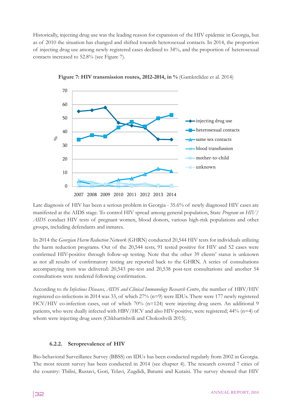Historically, injecting drug use was the leading reason for expansion of the HIV epidemic in Georgia, but as of 2010 the situation has changed and shifted towards heterosexual contacts. In 2014, the proportion of injecting drug use among newly registered cases declined to 34%, and the proportion of heterosexual contacts increased to 52.8% (see Figure 7).



**Figure 7: HIV transmission routes, 2012-2014, in %** (Gamkrelidze et al. 2014)

Late diagnosis of HIV has been a serious problem in Georgia - 35.6% of newly diagnosed HIV cases are manifested at the AIDS stage. To control HIV spread among general population, State *Program on HIV/* AIDS conduct HIV tests of pregnant women, blood donors, various high-risk populations and other groups, including defendants and inmates.

In 2014 the *Georgian Harm Reduction Network* (GHRN) conducted 20,544 HIV tests for individuals utilizing the harm reduction programs. Out of the 20,544 tests, 91 tested positive for HIV and 52 cases were confirmed HIV-positive through follow-up testing. Note that the other 39 clients' status is unknown as not all results of confirmatory testing are reported back to the GHRN. A series of consultations accompanying tests was delivered: 20,543 pre-test and 20,538 post-test consultations and another 54 consultations were rendered following confirmation. 8

According to *the Infectious Diseases, AIDS and Clinical Immunology Research Centre*, the number of HBV/HIV registered co-infections in 2014 was 33, of which 27% (n=9) were IDUs. There were 177 newly registered<br>HCV/HIV co-infection cases, out of which 70% (n=124) were injecting drug users. An additional 9 HCV/HIV co-infection cases, out of which 70% (n=124) were injecting drug users. An additional 9 patients, who were dually infected with HBV/HCV and also HIV-positive, were registered; 44% (n=4) of whom were injecting drug users (Chkhartishvili and Chokoshvili 2015). ට<br>1

# **6.2.2.** Seroprevalence of HIV

Bio-behavioral Surveillance Survey (BBSS) on IDUs has been conducted regularly from 2002 in Georgia. The most recent survey has been conducted in 2014 (see chapter 4). The research covered 7 cities of the country: Tbilisi, Rustavi, Gori, Telavi, Zugdidi, Batumi and Kutaisi. The survey showed that HIV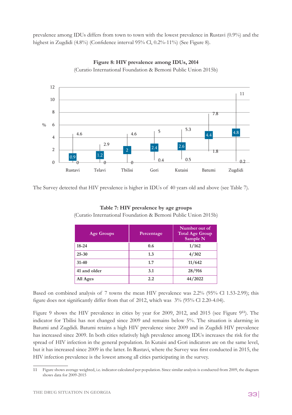prevalence among IDUs differs from town to town with the lowest prevalence in Rustavi (0.9%) and the highest in Zugdidi (4.8%) (Confidence interval 95% Cl, 0.2%-11%) (See Figure 8).



Figure 8: HIV prevalence among IDUs, 2014 (Curatio International Foundation & Bemoni Public Union 2015b)

The Survey detected that HIV prevalence is higher in IDUs of 40 years old and above (see Table 7).

| <b>Age Groups</b> | Percentage | Number out of<br><b>Total Age Group</b><br>Sample N |
|-------------------|------------|-----------------------------------------------------|
| $18 - 24$         | 0.6        | 1/162                                               |
| $25 - 30$         | 1.3        | 4/302                                               |
| $31 - 40$         | 1.7        | 11/642                                              |
| 41 and older      | 3.1        | 28/916                                              |
| All Ages          | $2.2\,$    | 44/2022                                             |

**Table 7: HIV prevalence by age groups**  (Curatio International Foundation & Bemoni Public Union 2015b)

Based on combined analysis of 7 towns the mean HIV prevalence was 2.2% (95% Cl 1.53-2.99); this figure does not significantly differ from that of 2012, which was 3% (95% Cl 2.20-4.04).

Figure 9 shows the HIV prevalence in cities by year for 2009, 2012, and 2015 (see Figure 9<sup>11</sup>). The indicator for Tbilisi has not changed since 2009 and remains below 5%. The situation is alarming in Batumi and Zugdidi. Batumi retains a high HIV prevalence since 2009 and in Zugdidi HIV prevalence has increased since 2009. In both cities relatively high prevalence among IDUs increases the risk for the spread of HIV infection in the general population. In Kutaisi and Gori indicators are on the same level, but it has increased since 2009 in the latter. In Rustavi, where the Survey was first conducted in 2015, the HIV infection prevalence is the lowest among all cities participating in the survey.

<sup>11</sup> Figure shows average weighted, i.e. indicator calculated per population. Since similar analysis is conducted from 2009, the diagram shows data for 2009-2015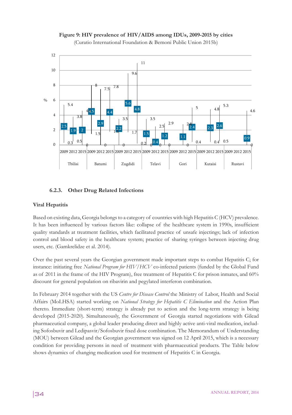



# 6.2.3. Other Drug Related Infections

### **Viral Hepatitis**

Based on existing data, Georgia belongs to a category of countries with high Hepatitis C (HCV) prevalence. It has been influenced by various factors like: collapse of the healthcare system in 1990s, insufficient quality standards at treatment facilities, which facilitated practice of unsafe injectings; lack of infection control and blood safety in the healthcare system; practice of sharing syringes between injecting drug users, etc. (Gamkrelidze et al. 2014). 0 as been influenced by various factors like: collapse of the healthcare system in 1990s, insuff 2,000 y sia  $\overline{v}$  sta .<br>22, **12, 23** ed on  $\epsilon$ 16,000

Over the past several years the Georgian government made important steps to combat Hepatitis C; for instance: initiating free National Program for HIV/HCV co-infected patients (funded by the Global Fund as of 2011 in the frame of the HIV Program), free treatment of Hepatitis C for prison inmates, and 60% discount for general population on ribavirin and pegylated interferon combination.

In February 2014 together with the US *Centre for Disease Control* the Ministry of Labor, Health and Social Affairs (MoLHSA) started working on *National Strategy for Hepatitis C Elimination* and the Action Plan thereto. Immediate (short-term) strategy is already put to action and the long-term strategy is being developed (2015-2020). Simultaneously, the Government of Georgia started negotiations with Gilead pharmaceutical company, a global leader producing direct and highly active anti-viral medication, including Sofosbuvir and Ledipasvir/Sofosbuvir fixed dose combination. The Memorandum of Understanding (MOU) between Gilead and the Georgian government was signed on 12 April 2015, which is a necessary condition for providing persons in need of treatment with pharmaceutical products. The Table below shows dynamics of changing medication used for treatment of Hepatitis C in Georgia.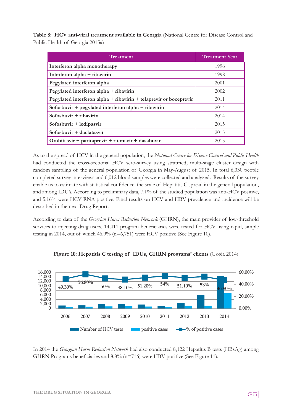**Table 8: HCV anti-viral treatment available in Georgia** (National Centre for Disease Control and Public Health of Georgia 2015a)

| <b>Treatment</b>                                                  | <b>Treatment Year</b> |
|-------------------------------------------------------------------|-----------------------|
| Interferon alpha monotherapy                                      | 1996                  |
| Interferon alpha + ribavirin                                      | 1998                  |
| Pegylated interferon alpha                                        | 2001                  |
| Pegylated interferon alpha + ribavirin                            | 2002                  |
| Pegylated interferon alpha + ribavirin + telaprevir or boceprevir | 2011                  |
| Sofosbuvir + pegylated interferon alpha + ribavirin               | 2014                  |
| Sofosbuvir $+$ ribavirin                                          | 2014                  |
| Sofosbuvir + ledipasvir                                           | 2015                  |
| Sofosbuvir + daclatasvir                                          | 2015                  |
| Ombitasvir + paritaprevir + ritonavir + dasabuvir                 | 2015                  |

As to the spread of HCV in the general population, the *National Centre for Disease Control and Public Health* 5.4 5.6 6 % had conducted the cross-sectional HCV sero-survey using stratified, multi-stage cluster design with random sampling of the general population of Georgia in May-August of 2015. In total 6,330 people completed survey interviews and 6,012 blood samples were collected and analyzed. Results of the survey enable us to estimate with statistical confidence, the scale of Hepatitis C spread in the general population, and among IDU's. According to preliminary data, 7.1% of the studied population was anti-HCV positive, and 5.16% were HCV RNA positive. Final results on HCV and HBV prevalence and incidence will be described in the next Drug Report. s-sectional HCV sero-survey using stratified, multi-stage cluster design with onnuence, 2000 samples were conceted and analyzed. Result<br>as to estimate with statistical confidence, the scale of Hepatitis C spread in the gene sampling of the general po

According to data of the *Georgian Harm Reduction Network* (GHRN), the main provider of low-threshold services to injecting drug users, 14,411 program beneficiaries were tested for HCV using rapid, simple testing in 2014, out of which 46.9% (n=6,751) were HCV positive (See Figure 10).



Figure 10: Hepatitis C testing of IDUs, GHRN programs' clients (Gogia 2014)

In 2014 the *Georgian Harm Reduction Network* had also conducted 8,122 Hepatitis B tests (HBsAg) among GHRN Programs beneficiaries and 8.8% (n=716) were HBV positive (See Figure 11).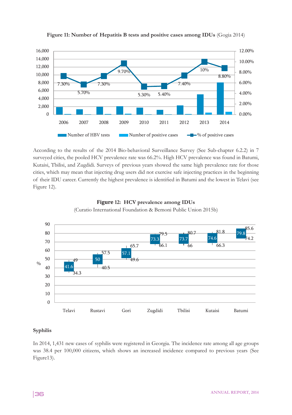

# **Figure 11: Number of Hepatitis B tests and positive cases among IDUs** (Gogia 2014)

According to the results of the 2014 Bio-behavioral Surveillance Survey (See Sub-chapter 6.2.2) in 7 surveyed cities, the pooled HCV prevalence rate was 66.2%. High HCV prevalence was found in Batumi, Kutaisi, Tbilisi, and Zugdidi. Surveys of previous years showed the same high prevalence rate for those cities, which may mean that injecting drug users did not exercise safe injecting practices in the beginning of their IDU career. Currently the highest prevalence is identified in Batumi and the lowest in Telavi (see Figure 12).





#### **Syphilis**

In 2014, 1,431 new cases of syphilis were registered in Georgia. The incidence rate among all age groups was 38.4 per 100,000 citizens, which shows an increased incidence compared to previous years (See Figure13).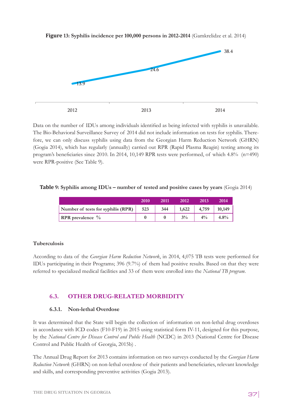

**Figure 13: Syphilis incidence per 100,000 persons in 2012-2014** (Gamkrelidze et al. 2014)

Data on the number of IDUs among individuals identified as being infected with syphilis is unavailable. The Bio-Behavioral Surveillance Survey of 2014 did not include information on tests for syphilis. Therefore, we can only discuss syphilis using data from the Georgian Harm Reduction Network (GHRN) (Gogia 2014), which has regularly (annually) carried out RPR (Rapid Plasma Reagin) testing among its program's beneficiaries since 2010. In 2014, 10,149 RPR tests were performed, of which 4.8% (n=490) were RPR-positive (See Table 9).

# Table 9: Syphilis among IDUs – number of tested and positive cases by years (Gogia 2014)

|                                    | 2010 | 2011 | 2012  | 2013  | 2014   |
|------------------------------------|------|------|-------|-------|--------|
| Number of tests for syphilis (RPR) | 523  | 344  | 1,622 | 4,759 | 10,149 |
| <b>RPR</b> prevalence $\%$         |      |      | 3%    |       | 4.8%   |

### **Tuberculosis**

According to data of the *Georgian Harm Reduction Network*, in 2014, 4,075 TB tests were performed for IDUs participating in their Programs; 396 (9.7%) of them had positive results. Based on that they were referred to specialized medical facilities and 33 of them were enrolled into the National TB program.

# **6.3. OTHER DRUG-RELATED MORBIDITY**

### **6.3.1. Non-lethal Overdose**

It was determined that the State will begin the collection of information on non-lethal drug overdoses in accordance with ICD codes (F10-F19) in 2015 using statistical form IV-11, designed for this purpose, by the *National Centre for Disease Control and Public Health* (NCDC) in 2013 (National Centre for Disease Control and Public Health of Georgia, 2015b) .

The Annual Drug Report for 2013 contains information on two surveys conducted by the *Georgian Harm Reduction Network* (GHRN) on non-lethal overdose of their patients and beneficiaries, relevant knowledge and skills, and corresponding preventive activities (Gogia 2013).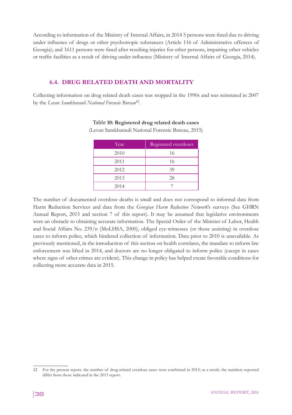According to information of the Ministry of Internal Affairs, in 2014 5 persons were fined due to driving under influence of drugs or other psychotropic substances (Article 116 of Administrative offences of Georgia); and 1611 persons were fined after resulting injuries for other persons, impairing other vehicles or traffic facilities as a result of driving under influence (Ministry of Internal Affairs of Georgia, 2014).

# **6.4. DRUG RELATED DEATH AND MORTALITY**

Collecting information on drug related death cases was stopped in the 1990s and was reinstated in 2007 by the *Levan Samkharauli National Forensic Bureau*<sup>12</sup>.

| Year | Registered overdoses |
|------|----------------------|
| 2010 | 16                   |
| 2011 | 16                   |
| 2012 | 39                   |
| 2013 | 28                   |
| 2014 |                      |

### Table **10: Registered drug related death cases**

(Levan Samkharauli National Forensic Bureau, 2015)

The number of documented overdose deaths is small and does not correspond to informal data from Harm Reduction Services and data from the *Georgian Harm Reduction Network*'s surveys (See GHRN Annual Report, 2015 and section 7 of this report). It may be assumed that legislative environments were an obstacle to obtaining accurate information. The Special Order of the Minister of Labor, Health and Social Affairs No. 239/n (MoLHSA, 2000), obliged eye-witnesses (or those assisting) in overdose cases to inform police, which hindered collection of information. Data prior to 2010 is unavailable. As previously mentioned, in the introduction of this section on health correlates, the mandate to inform law enforcement was lifted in 2014, and doctors are no longer obligated to inform police (except in cases where signs of other crimes are evident). This change in policy has helped create favorable conditions for collecting more accurate data in 2015.

<sup>12</sup> For the present report, the number of drug-related overdose cases were confirmed in 2015; as a result, the numbers reported differ from those indicated in the 2013 report.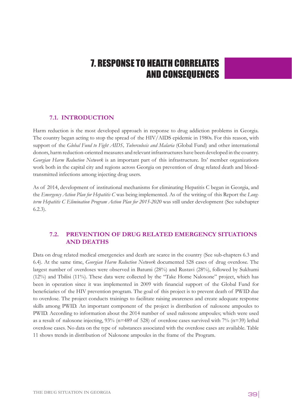# 7. RESPONSE TO HEALTH CORRELATES AND CONSEQUENCES

# **7.1. INTRODUCTION**

Harm reduction is the most developed approach in response to drug addiction problems in Georgia. The country began acting to stop the spread of the HIV/AIDS epidemic in 1980s. For this reason, with support of the *Global Fund to Fight AIDS, Tuberculosis and Malaria* (Global Fund) and other international donors, harm reduction-oriented measures and relevant infrastructures have been developed in the country. *Georgian Harm Reduction Network* is an important part of this infrastructure. Its' member organizations work both in the capital city and regions across Georgia on prevention of drug related death and bloodtransmitted infections among injecting drug users.

As of 2014, development of institutional mechanisms for eliminating Hepatitis C began in Georgia, and the *Emergency Action Plan for Hepatitis C* was being implemented. As of the writing of this Report the *Longterm Hepatitis C Elimination Program Action Plan for 2015-2020* was still under development (See subchapter 6.2.3).

# **7.2. PREVENTION OF DRUG RELATED EMERGENCY SITUATIONS AND DEATHS**

Data on drug related medical emergencies and death are scarce in the country (See sub-chapters 6.3 and 6.4). At the same time, *Georgian Harm Reduction Network* documented 528 cases of drug overdose. The largest number of overdoses were observed in Batumi (28%) and Rustavi (28%), followed by Sukhumi (12%) and Tbilisi (11%). These data were collected by the "Take Home Naloxone" project, which has been in operation since it was implemented in 2009 with financial support of the Global Fund for beneficiaries of the HIV prevention program. The goal of this project is to prevent death of PWID due to overdose. The project conducts trainings to facilitate raising awareness and create adequate response skills among PWID. An important component of the project is distribution of naloxone ampoules to PWID. According to information about the 2014 number of used naloxone ampoules; which were used as a result of naloxone injecting,  $93\%$  (n=489 of 528) of overdose cases survived with  $7\%$  (n=39) lethal overdose cases. No data on the type of substances associated with the overdose cases are available. Table 11 shows trends in distribution of Naloxone ampoules in the frame of the Program.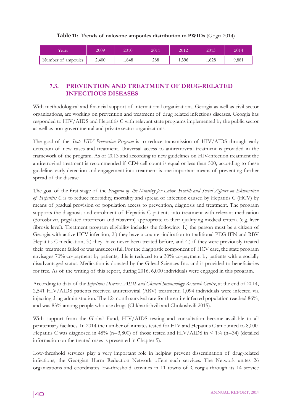|  |  |  | Table 11: Trends of naloxone ampoules distribution to PWIDs (Gogia 2014) |  |  |
|--|--|--|--------------------------------------------------------------------------|--|--|
|--|--|--|--------------------------------------------------------------------------|--|--|

| Years              | 2009  | 2010  | 2011 | 2012  | 2013  | 2014  |
|--------------------|-------|-------|------|-------|-------|-------|
| Number of ampoules | 2,400 | 1.848 | 288  | 1,396 | 1,628 | 9,881 |

# **7.3. PREVENTION AND TREATMENT OF DRUG-RELATED INFECTIOUS DISEASES**

With methodological and financial support of international organizations, Georgia as well as civil sector organizations, are working on prevention and treatment of drug related infectious diseases. Georgia has responded to HIV/AIDS and Hepatitis C with relevant state programs implemented by the public sector as well as non-governmental and private sector organizations.

The goal of the *State HIV Prevention Program* is to reduce transmission of HIV/AIDS through early detection of new cases and treatment. Universal access to antiretroviral treatment is provided in the framework of the program. As of 2013 and according to new guidelines on HIV-infection treatment the antiretroviral treatment is recommended if CD4 cell count is equal or less than 500; according to these guideline, early detection and engagement into treatment is one important means of preventing further spread of the disease.

The goal of the first stage of the *Program of the Ministry for Labor, Health and Social Affairs on Elimination of Hepatitis C* is to reduce morbidity, mortality and spread of infection caused by Hepatitis C (HCV) by means of gradual provision of population access to prevention, diagnosis and treatment. The program supports the diagnosis and enrolment of Hepatitis C patients into treatment with relevant medication (Sofosbuvir, pegylated interferon and ribavirin) appropriate to their qualifying medical criteria (e.g. liver fibrosis level). Treatment program eligibility includes the following: 1.) the person must be a citizen of Georgia with active HCV infection, 2.) they have a counter-indication to traditional PEG IFN and RBV Hepatitis C medication, 3.) they have never been treated before, and 4.) if they were previously treated their treatment failed or was unsuccessful. For the diagnostic component of HCV care, the state program envisages 70% co-payment by patients; this is reduced to a 30% co-payment by patients with a socially disadvantaged status. Medication is donated by the Gilead Sciences Inc. and is provided to beneficiaries for free. As of the writing of this report, during 2016, 6,000 individuals were engaged in this program.

According to data of the *Infectious Diseases, AIDS and Clinical Immunology Research Centre*, at the end of 2014, 2,541 HIV/AIDS patients received antiretroviral (ARV) treatment; 1,094 individuals were infected via injecting drug administration. The 12-month survival rate for the entire infected population reached 86%, and was 83% among people who use drugs (Chkhartishvili and Chokoshvili 2015).

With support from the Global Fund, HIV/AIDS testing and consultation became available to all penitentiary facilities. In 2014 the number of inmates tested for HIV and Hepatitis C amounted to 8,000. Hepatitis C was diagnosed in 48% ( $n=3,800$ ) of those tested and HIV/AIDS in < 1% ( $n=34$ ) (detailed information on the treated cases is presented in Chapter 5).

Low-threshold services play a very important role in helping prevent dissemination of drug-related infections; the Georgian Harm Reduction Network offers such services. The Network unites 26 organizations and coordinates low-threshold activities in 11 towns of Georgia through its 14 service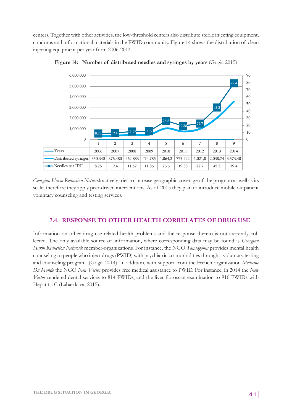centers. Together with other activities, the low-threshold centers also distribute sterile injecting equipment, condoms and informational materials in the PWID community. Figure 14 shows the distribution of clean injecting equipment per year from 2006-2014.



**Figure 14: Number of distributed needles and syringes by years** (Gogia 2015)

*Georgian Harm Reduction Network* actively tries to increase geographic coverage of the program as well as its scale; therefore they apply peer-driven interventions. As of 2015 they plan to introduce mobile outpatient voluntary counseling and testing services.

# 7.4. RESPONSE TO OTHER HEALTH CORRELATES OF DRUG USE

Information on other drug use-related health problems and the response thereto is not currently collected. The only available source of information, where corresponding data may be found is *Georgian Harm Reduction Network* member-organizations. For instance, the NGO *Tanadgoma* provides mental health counseling to people who inject drugs (PWID) with psychiatric co-morbidities through a voluntary testing and counseling program (Gogia 2014). In addition, with support from the French organization *Medicine Du Monde* the NGO *New Vector* provides free medical assistance to PWID. For instance, in 2014 the *New Vector* rendered dental services to 814 PWIDs, and the liver fibroscan examination to 910 PWIDs with Hepatitis C (Labartkava, 2015).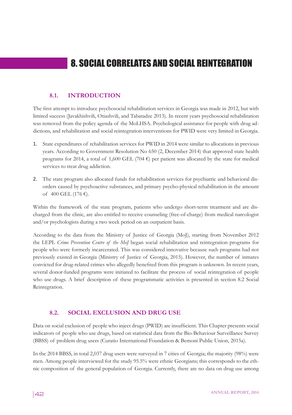# 8. SOCIAL CORRELATES AND SOCIAL REINTEGRATION

# **8.1. INTRODUCTION**

The first attempt to introduce psychosocial rehabilitation services in Georgia was made in 2012, but with limited success (Javakhishvili, Otiashvili, and Tabatadze 2013). In recent years psychosocial rehabilitation was removed from the policy agenda of the MoLHSA. Psychological assistance for people with drug addictions, and rehabilitation and social reintegration interventions for PWID were very limited in Georgia.

- 1. State expenditures of rehabilitation services for PWID in 2014 were similar to allocations in previous years. According to Government Resolution No 650 (2, December 2014) that approved state health programs for 2014, a total of 1,600 GEL (704  $\epsilon$ ) per patient was allocated by the state for medical services to treat drug addiction.
- 2. The state program also allocated funds for rehabilitation services for psychiatric and behavioral disorders caused by psychoactive substances, and primary psycho-physical rehabilitation in the amount of 400 GEL (176 €).

Within the framework of the state program, patients who undergo short-term treatment and are discharged from the clinic, are also entitled to receive counseling (free-of-charge) from medical narcologist and/or psychologists during a two week period on an outpatient basis.

According to the data from the Ministry of Justice of Georgia (MoJ), starting from November 2012 the LEPL *Crime Prevention Centre of the MoJ* began social rehabilitation and reintegration programs for people who were formerly incarcerated. This was considered innovative because such programs had not previously existed in Georgia (Ministry of Justice of Georgia, 2015). However, the number of inmates convicted for drug-related crimes who allegedly benefited from this program is unknown. In recent years, several donor-funded programs were initiated to facilitate the process of social reintegration of people who use drugs. A brief description of these programmatic activities is presented in section 8.2 Social Reintegration.

### **8.2. SOCIAL EXCLUSION AND DRUG USE**

Data on social exclusion of people who inject drugs (PWID) are insufficient. This Chapter presents social indicators of people who use drugs, based on statistical data from the Bio-Behaviour Surveillance Survey (BBSS) of problem drug users (Curatio International Foundation & Bemoni Public Union, 2015a).

In the 2014 BBSS, in total 2,037 drug users were surveyed in 7 cities of Georgia; the majority (98%) were men. Among people interviewed for the study 95.5% were ethnic Georgians; this corresponds to the ethnic composition of the general population of Georgia. Currently, there are no data on drug use among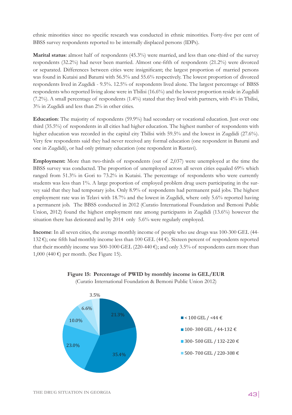ethnic minorities since no specific research was conducted in ethnic minorities. Forty-five per cent of BBSS survey respondents reported to be internally displaced persons (IDPs).

**Marital status**: almost half of respondents (45.3%) were married, and less than one-third of the survey respondents (32.2%) had never been married. Almost one-fifth of respondents (21.2%) were divorced or separated. Differences between cities were insignificant; the largest proportion of married persons was found in Kutaisi and Batumi with 56.5% and 55.6% respectively. The lowest proportion of divorced respondents lived in Zugdidi - 9.5%. 12.5% of respondents lived alone. The largest percentage of BBSS respondents who reported living alone were in Tbilisi (16.6%) and the lowest proportion reside in Zugdidi (7.2%). A small percentage of respondents (1.4%) stated that they lived with partners, with 4% in Tbilisi, 3% in Zugdidi and less than 2% in other cities.

**Education**: The majority of respondents (59.9%) had secondary or vocational education. Just over one third (35.5%) of respondents in all cities had higher education. The highest number of respondents with higher education was recorded in the capital city Tbilisi with 59.5% and the lowest in Zugdidi (27.6%). Very few respondents said they had never received any formal education (one respondent in Batumi and one in Zugdidi), or had only primary education (one respondent in Rustavi).

**Employment:** More than two-thirds of respondents (out of 2,037) were unemployed at the time the BBSS survey was conducted. The proportion of unemployed across all seven cities equaled 69% which ranged from 51.3% in Gori to 73.2% in Kutaisi. The percentage of respondents who were currently students was less than 1%. A large proportion of employed problem drug users participating in the survey said that they had temporary jobs. Only 8.9% of respondents had permanent paid jobs. The highest employment rate was in Telavi with 18.7% and the lowest in Zugdidi, where only 5.6% reported having a permanent job. The BBSS conducted in 2012 (Curatio International Foundation and Bemoni Public Union, 2012) found the highest employment rate among participants in Zugdidi (13.6%) however the situation there has detiorated and by 2014 only 5.6% were regularly employed.

**Income**: In all seven cities, the average monthly income of people who use drugs was 100-300 GEL (44- 132 €); one fifth had monthly income less than 100 GEL (44 €). Sixteen percent of respondents reported that their monthly income was 500-1000 GEL (220-440 €); and only 3.5% of respondents earn more than 1,000 (440 €) per month. (See Figure 15).



# **Figure 15: Percentage of PWID by monthly income in GEL/EUR**

(Curatio International Foundation & Bemoni Public Union 2012)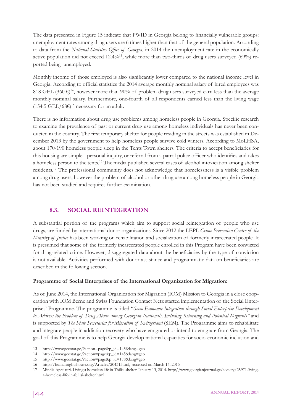The data presented in Figure 15 indicate that PWID in Georgia belong to financially vulnerable groups: unemployment rates among drug users are 6 times higher than that of the general population. According to data from the *National Statistics Office of Georgia*, in 2014 the unemployment rate in the economically active population did not exceed  $12.4\%$ <sup>13</sup>, while more than two-thirds of drug users surveyed (69%) reported being unemployed.

Monthly income of those employed is also significantly lower compared to the national income level in Georgia. According to official statistics the 2014 average monthly nominal salary of hired employees was 818 GEL (360  $\epsilon$ )<sup>14</sup>, however more than 90% of problem drug users surveyed earn less than the average monthly nominal salary. Furthermore, one-fourth of all respondents earned less than the living wage  $(154.5 \text{ GEL}/68\epsilon)^{15}$  necessary for an adult.

There is no information about drug use problems among homeless people in Georgia. Specific research to examine the prevalence of past or current drug use among homeless individuals has never been conducted in the country. The first temporary shelter for people residing in the streets was established in December 2013 by the government to help homeless people survive cold winters. According to MoLHSA, about 170-190 homeless people sleep in the Tents Town shelters. The criteria to accept beneficiaries for this housing are simple - personal inquiry, or referral from a patrol police officer who identifies and takes a homeless person to the tents.<sup>16</sup> The media published several cases of alcohol intoxication among shelter residents.<sup>17</sup> The professional community does not acknowledge that homelessness is a visible problem among drug users; however the problem of alcohol or other drug use among homeless people in Georgia has not been studied and requires further examination.

# **8.3. SOCIAL REINTEGRATION**

A substantial portion of the programs which aim to support social reintegration of people who use drugs, are funded by international donor organizations. Since 2012 the LEPL *Crime Prevention Centre of the Ministry of Justice* has been working on rehabilitation and socialization of formerly incarcerated people. It is presumed that some of the formerly incarcerated people enrolled in this Program have been convicted for drug-related crime. However, disaggregated data about the beneficiaries by the type of conviction is not available. Activities performed with donor assistance and programmatic data on beneficiaries are described in the following section.

### **Programme of Social Enterprises of the International Organization for Migration:**

As of June 2014, the International Organization for Migration (IOM) Mission to Georgia in a close cooperation with IOM Berne and Swiss Foundation Contact Netz started implementation of the Social Enterprises' Programme. The programme is titled "*Socio-Economic Integration through Social Enterprise Development to Address the Problem of Drug Abuse among Georgian Nationals, Including Returning and Potential Migrants"* and is supported by *The State Secretariat for Migration of Switzerland* (SEM). The Programme aims to rehabilitate and integrate people in addiction recovery who have emigrated or intend to emigrate from Georgia. The goal of this Programme is to help Georgia develop national capacities for socio-economic inclusion and

<sup>13</sup> http://www.geostat.ge/?action=page&p\_id=145&lang=geo

<sup>14</sup> http://www.geostat.ge/?action=page&p\_id=145&lang=geo

<sup>15</sup> http://www.geostat.ge/?action=page&p\_id=178&lang=geo

<sup>16</sup> http://humanrightshouse.org/Articles/20431.html, accessed on March 14, 2015

<sup>17</sup> Mindia Aptsiauri. Living a homeless life in Tbilisi shelter. January 13, 2014. http://www.georgianjournal.ge/society/25971-livinga-homeless-life-in-tbilisi-shelter.html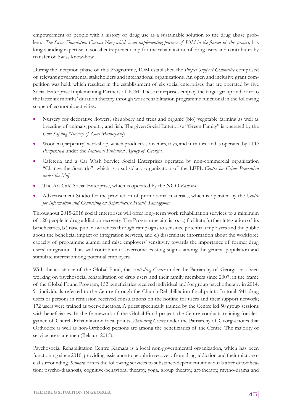empowerment of people with a history of drug use as a sustainable solution to the drug abuse problem. *The Swiss Foundation Contact Netz which is an implementing partner of IOM in the frames of this project*, has long-standing expertise in social entrepreneurship for the rehabilitation of drug users and contributes by transfer of Swiss know-how.

During the inception phase of this Programme, IOM established the *Project Support Committee* comprised of relevant governmental stakeholders and international organizations. An open and inclusive grant competition was held, which resulted in the establishment of six social enterprises that are operated by five Social Enterprise Implementing Partners of IOM. These enterprises employ the target group and offer to the latter six months' duration therapy through work rehabilitation programme functional in the following scope of economic activities:

- Nursery for decorative flowers, shrubbery and trees and organic (bio) vegetable farming as well as breeding of animals, poultry and fish. The given Social Enterprise "Green Family" is operated by the *Gori Sapling Nursery of Gori Municipality*.
- Wooden (carpentry) workshop, which produces souvenirs, toys, and furniture and is operated by LTD *Perspektiva* under the *National Probation Agency of Georgia*.
- Cafeteria and a Car Wash Service Social Enterprises operated by non-commercial organization "Change the Scenario", which is a subsidiary organization of the LEPL *Centre for Crime Prevention under the MoJ*.
- The Art Café Social Enterprise, which is operated by the NGO *Kamara.*
- Advertisement Studio for the production of promotional materials, which is operated by the *Centre for Information and Counseling on Reproductive Health Tanadgoma*.

Throughout 2015-2016 social enterprises will offer long-term work rehabilitation services to a minimum of 120 people in drug addiction recovery. The Programme aim is to: a.) facilitate further integration of its beneficiaries, b.) raise public awareness through campaigns to sensitize potential employers and the public about the beneficial impact of integration services, and c.) disseminate information about the workforce capacity of programme alumni and raise employers' sensitivity towards the importance of former drug users' integration. This will contribute to overcome existing stigma among the general population and stimulate interest among potential employers.

With the assistance of the Global Fund, the *Anti-drug Centre* under the Patriarchy of Georgia has been working on psychosocial rehabilitation of drug users and their family members since 2007; in the frame of the Global Found Program, 152 beneficiaries received individual and/or group psychotherapy in 2014; 91 individuals referred to the Centre through the Church-Rehabilitation focal points. In total, 941 drug users or persons in remission received consultations on the hotline for users and their support network; 172 users were trained as peer-educators. A priest specifically trained by the Centre led 50 group sessions with beneficiaries. In the framework of the Global Fund project, the Centre conducts training for clergymen of Church-Rehabilitation focal points. *Anti-drug Centre* under the Patriarchy of Georgia notes that Orthodox as well as non-Orthodox persons are among the beneficiaries of the Centre. The majority of service users are men (Bekauri 2015).

Psychosocial Rehabilitation Centre Kamara is a local non-governmental organization, which has been functioning since 2010, providing assistance to people in recovery from drug addiction and their micro-social surrounding. *Kamara* offers the following services to substance-dependent individuals after detoxification: psycho-diagnosis, cognitive-behavioral therapy, yoga, group therapy, art-therapy, mytho-drama and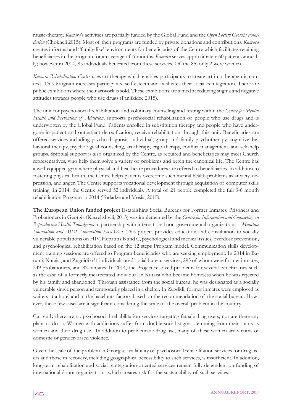music-therapy. *Kamara*'s activities are partially funded by the Global Fund and the *Open Society Georgia Foundation* (Chokheli 2015). Most of their programs are funded by private donations and contributions. *Kamara* creates informal and "family-like" environments for beneficiaries of the Centre which facilitates retaining beneficiaries in the program for an average of 6-months. *Kamara* serves approximately 60 patients annually; however in 2014, 85 individuals benefited from these services. Of the 85, only 2 were women.

*Kamara Rehabilitation Centre* uses art-therapy which enables participants to create art in a therapeutic context. This Program increases participants' self-esteem and facilitates their social reintegration. There are public exhibitions where their artwork is sold. These exhibitions are aimed at reducing stigma and negative attitudes towards people who use drugs (Panjikidze 2015).

The unit for psycho-social rehabilitation and voluntary counseling and testing within the *Centre for Mental Health and Prevention of Addiction*, supports psychosocial rehabilitation of people who use drugs and is underwritten by the Global Fund. Patients enrolled in substitution therapy and people who have undergone in-patient and outpatient detoxification, receive rehabilitation through this unit. Beneficiaries are offered services including psycho-diagnosis, individual, group and family psychotherapy, cognitive–behavioral therapy, psychological counseling, art-therapy, ergo-therapy, conflict management, and self-help groups. Spiritual support is also organized by the Centre, as required and beneficiaries may meet Church representatives, who help them solve a variety of problems and begin the canonical life. The Centre has a well-equipped gym where physical and healthcare procedures are offered to beneficiaries. In addition to fostering physical health, the Centre helps patients overcome such mental health problems as anxiety, depression, and anger. The Centre supports vocational development through acquisition of computer skills training. In 2014, the Centre served 52 individuals. A total of 21 people completed the full 3-6 month rehabilitation Program in 2014 (Todadze and Mosia, 2015).

**The European Union funded project** Establishing Social Bureaus for Former Inmates, Prisoners and Probationers in Georgia (Kasrelishvili, 2015) was implemented by the *Centre for Information and Counseling on Reproductive Health Tanadgoma* in partnership with international non-governmental organizations *– Mainline Foundation and AIDS Foundation East-West*. This project provides education and consultation to socially vulnerable populations on HIV, Hepatitis B and C, psychological and medical issues, overdose prevention, and psychological rehabilitation based on the 12 steps Program model. Communication skills development training sessions are offered to Program beneficiaries who are seeking employment. In 2014 in Batumi, Kutaisi, and Zugdidi 631 individuals used social bureau services; 293 of whom were former inmates, 249 probationers, and 82 inmates. In 2014, the Project resolved problems for several beneficiaries such as the case of a formerly incarcerated individual in Kutaisi who became homeless when he was rejected by his family and abandoned. Through assistance from the social bureau, he was designated as a socially vulnerable single person and temporarily placed in a shelter. In Zugdidi, former inmates were employed as waiters at a hotel and in the hazelnuts factory based on the recommendation of the social bureau. However, these few cases are insignificant considering the scale of the overall problem in the country.

Currently there are no psychosocial rehabilitation services targeting female drug users; nor are there any plans to do so. Women with addictions suffer from double social stigma stemming from their status as women and their drug use. In addition to problematic drug use, many of these women are victims of domestic or gender-based violence.

Given the scale of the problem in Georgia, availability of psychosocial rehabilitation services for drug users and those in recovery, including geographical accessibility to such services, is insufficient. In addition, long-term rehabilitation and social reintegration-oriented services remain fully dependent on funding of international donor organizations; which creates risk for the sustainability of such services.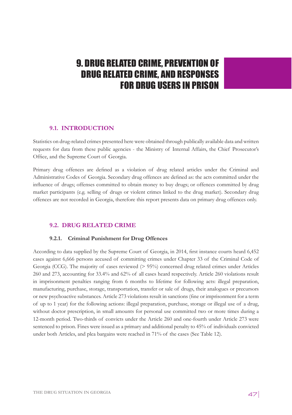# 9. DRUG RELATED CRIME, PREVENTION OF DRUG RELATED CRIME, AND RESPONSES FOR DRUG USERS IN PRISON

# **9.1. INTRODUCTION**

Statistics on drug-related crimes presented here were obtained through publically available data and written requests for data from these public agencies - the Ministry of Internal Affairs, the Chief Prosecutor's Office, and the Supreme Court of Georgia.

Primary drug offences are defined as a violation of drug related articles under the Criminal and Administrative Codes of Georgia. Secondary drug offences are defined as: the acts committed under the influence of drugs; offenses committed to obtain money to buy drugs; or offences committed by drug market participants (e.g. selling of drugs or violent crimes linked to the drug market). Secondary drug offences are not recorded in Georgia, therefore this report presents data on primary drug offences only.

# **9.2. DRUG RELATED CRIME**

### **9.2.1. Criminal Punishment for Drug Offences**

According to data supplied by the Supreme Court of Georgia, in 2014, first instance courts heard 6,452 cases against 6,666 persons accused of committing crimes under Chapter 33 of the Criminal Code of Georgia (CCG). The majority of cases reviewed  $(> 95%)$  concerned drug related crimes under Articles 260 and 273, accounting for 33.4% and 62% of all cases heard respectively. Article 260 violations result in imprisonment penalties ranging from 6 months to lifetime for following acts: illegal preparation, manufacturing, purchase, storage, transportation, transfer or sale of drugs, their analogues or precursors or new psychoactive substances. Article 273 violations result in sanctions (fine or imprisonment for a term of up to 1 year) for the following actions: illegal preparation, purchase, storage or illegal use of a drug, without doctor prescription, in small amounts for personal use committed two or more times during a 12-month period. Two-thirds of convicts under the Article 260 and one-fourth under Article 273 were sentenced to prison. Fines were issued as a primary and additional penalty to 45% of individuals convicted under both Articles, and plea bargains were reached in 71% of the cases (See Table 12).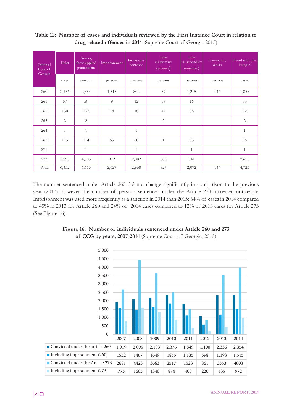| Criminal<br>Code of | Heict        | Among<br>those applied<br>punishment | Imprisonment | Provisional<br>Sentence | Fine<br>(as primary<br>sentence) | Fine<br>(as secondary<br>sentence) | Community<br><b>Works</b> | Heard with plea<br>bargain |
|---------------------|--------------|--------------------------------------|--------------|-------------------------|----------------------------------|------------------------------------|---------------------------|----------------------------|
| Georgia             | cases        | persons                              | persons      | persons                 | persons                          | persons                            | persons                   | cases                      |
| 260                 | 2,156        | 2,354                                | 1,515        | 802                     | 37                               | 1,215                              | 144                       | 1,858                      |
| 261                 | 57           | 59                                   | 9            | 12                      | 38                               | 16                                 |                           | 53                         |
| 262                 | 130          | 132                                  | 78           | 10                      | 44                               | 36                                 |                           | 92                         |
| 263                 | 2            | $\overline{2}$                       |              |                         | $\overline{2}$                   |                                    |                           | $\overline{2}$             |
| 264                 | $\mathbf{1}$ | $\mathbf{1}$                         |              | $\mathbf{1}$            |                                  |                                    |                           | $\mathbf{1}$               |
| 265                 | 113          | 114                                  | 53           | 60                      | $\mathbf{1}$                     | 63                                 |                           | 98                         |
| 271                 |              | $\mathbf{1}$                         |              | $\mathbf{1}$            |                                  | $\mathbf{1}$                       |                           | $\mathbf{1}$               |
| 273                 | 3,993        | 4,003                                | 972          | 2,082                   | 805                              | 741                                |                           | 2,618                      |
| Total               | 6,452        | 6,666                                | 2,627        | 2,968                   | 927                              | 2,072                              | 144                       | 4,723                      |

**Table 12: Number of cases and individuals reviewed by the First Instance Court in relation to drug related offences in 2014** (Supreme Court of Georgia 2015)

The number sentenced under Article 260 did not change significantly in comparison to the previous year (2013), however the number of persons sentenced under the Article 273 increased noticeably. Imprisonment was used more frequently as a sanction in 2014 than 2013; 64% of cases in 2014 compared to 45% in 2013 for Article 260 and 24% of 2014 cases compared to 12% of 2013 cases for Article 273 (See Figure 16).



Figure 16: Number of individuals sentenced under Article 260 and 273 **of CCG by years, 2007-2014** (Supreme Court of Georgia, 2015)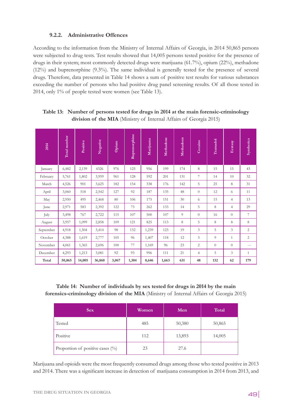## **9.2.2. Administrative Offences**

According to the information from the Ministry of Internal Affairs of Georgia, in 2014 50,865 persons were subjected to drug tests. Test results showed that 14,005 persons tested positive for the presence of drugs in their system; most commonly detected drugs were marijuana (61.7%), opium (22%), methadone (12%) and buprenorphine (9.3%). The same individual is generally tested for the presence of several drugs. Therefore, data presented in Table 14 shows a sum of positive test results for various substances exceeding the number of persons who had positive drug panel screening results. Of all those tested in 2014, only 1% of people tested were women (see Table 13).

| 2014      | Total number | Positive | Negative | Opium | <b>Buprenorphine</b> | Marijuana | Methadone | Methadoen | Cocaine        | Tramadol       | Ecstasy                 | Synthetics     |
|-----------|--------------|----------|----------|-------|----------------------|-----------|-----------|-----------|----------------|----------------|-------------------------|----------------|
| January   | 6,482        | 2,139    | 4326     | 976   | 125                  | 956       | 199       | 174       | 8              | 15             | 15                      | 43             |
| February  | 5,761        | 1,802    | 3,959    | 961   | 128                  | 592       | 201       | 131       | $\overline{7}$ | 14             | 10                      | 32             |
| March     | 4,526        | 901      | 3,625    | 182   | 154                  | 338       | 176       | 142       | 5              | 25             | 8                       | 31             |
| April     | 3,060        | 518      | 2,542    | 127   | 92                   | 187       | 135       | 48        | $\overline{0}$ | 12             | 6                       | 11             |
| May       | 2,950        | 495      | 2,468    | 80    | 106                  | 175       | 151       | 30        | 6              | 15             | $\overline{4}$          | 13             |
| June      | 2,971        | 583      | 2,392    | 122   | 73                   | 262       | 133       | 14        | 5              | 8              | $\overline{4}$          | 29             |
| July      | 3,498        | 767      | 2,722    | 115   | 107                  | 500       | 107       | 9         | $\theta$       | 16             | $\theta$                | $\tau$         |
| August    | 3,957        | 1,099    | 2,858    | 109   | 121                  | 825       | 113       | 8         | 5              | 8              | 8                       | 8              |
| September | 4,918        | 1,504    | 3,414    | 98    | 132                  | 1,239     | 123       | 19        | 3              | 5              | 3                       | $\overline{2}$ |
| October   | 4,388        | 1,619    | 2,777    | 105   | 96                   | 1,407     | 118       | 12        | 3              | $\overline{Q}$ | $\mathbf{1}$            | $\overline{c}$ |
| November  | 4,061        | 1,365    | 2,696    | 100   | 77                   | 1,169     | 96        | 23        | $\overline{c}$ | $\theta$       | $\theta$                | $---$          |
| December  | 4,293        | 1,213    | 3,081    | 92    | 93                   | 996       | 111       | 21        | $\overline{4}$ | 5              | $\overline{\mathbf{3}}$ | $\mathbf{1}$   |
| Total     | 50,865       | 14,005   | 36,860   | 3,067 | 1,304                | 8,646     | 1,663     | 631       | 48             | 132            | 62                      | 179            |

**Table 13: Number of persons tested for drugs in 2014 at the main forensic-criminology division of the MIA** (Ministry of Internal Affairs of Georgia 2015)

**Table 14: Number of individuals by sex tested for drugs in 2014 by the main forensics-criminology division of the MIA** (Ministry of Internal Affairs of Georgia 2015)

| <b>Sex</b>                       | Women | Men    | <b>Total</b> |
|----------------------------------|-------|--------|--------------|
| Tested                           | 485   | 50,380 | 50,865       |
| Positive                         | 112   | 13,893 | 14,005       |
| Proportion of positive cases (%) | 23    | 27.6   |              |

Marijuana and opioids were the most frequently consumed drugs among those who tested positive in 2013 and 2014. There was a significant increase in detection of marijuana consumption in 2014 from 2013, and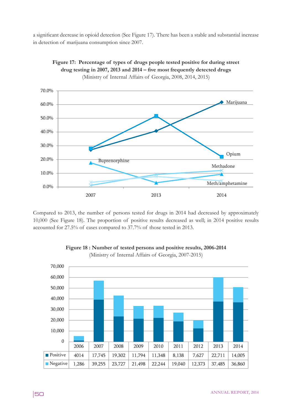a significant decrease in opioid detection (See Figure 17). There has been a stable and substantial increase in detection of marijuana consumption since 2007.



**Figure 17: Percentage of types of drugs people tested positive for during street**  drug testing in 2007, 2013 and 2014 – five most frequently detected drugs (Ministry of Internal Affairs of Georgia, 2008, 2014, 2015)

Compared to 2013, the number of persons tested for drugs in 2014 had decreased by approximately 10,000 (See Figure 18). The proportion of positive results decreased as well; in 2014 positive results accounted for 27.5% of cases compared to 37.7% of those tested in 2013.



Figure 18: Number of tested persons and positive results, 2006-2014 (Ministry of Internal Affairs of Georgia, 2007-2015) Figur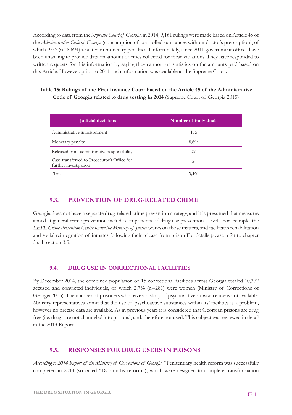According to data from the *Supreme Court of Georgia*, in 2014, 9,161 rulings were made based on Article 45 of the *Administrative Code of Georgia* (consumption of controlled substances without doctor's prescription), of which 95% (n=8,694) resulted in monetary penalties. Unfortunately, since 2011 government offices have been unwilling to provide data on amount of fines collected for these violations. They have responded to written requests for this information by saying they cannot run statistics on the amounts paid based on this Article. However, prior to 2011 such information was available at the Supreme Court.

# **Table 15: Rulings of the First Instance Court based on the Article 45 of the Administrative Code of Georgia related to drug testing in 2014** (Supreme Court of Georgia 2015)

| <b>Judicial decisions</b>                                            | Number of individuals |  |  |
|----------------------------------------------------------------------|-----------------------|--|--|
| Administrative imprisonment                                          | 115                   |  |  |
| Monetary penalty                                                     | 8,694                 |  |  |
| Released from administrative responsibility                          | 261                   |  |  |
| Case transferred to Prosecutor's Office for<br>further investigation | 91                    |  |  |
| Total                                                                | 9,161                 |  |  |

# **9.3. PREVENTION OF DRUG-RELATED CRIME**

Georgia does not have a separate drug-related crime prevention strategy, and it is presumed that measures aimed at general crime prevention include components of drug use prevention as well. For example, the *LEPL Crime Prevention Centre under the Ministry of Justice* works on those matters, and facilitates rehabilitation and social reintegration of inmates following their release from prison For details please refer to chapter 3 sub section 3.5.

# **9.4. DRUG USE IN CORRECTIONAL FACILITIES**

By December 2014, the combined population of 15 correctional facilities across Georgia totaled 10,372 accused and convicted individuals, of which 2.7% (n=281) were women (Ministry of Corrections of Georgia 2015). The number of prisoners who have a history of psychoactive substance use is not available. Ministry representatives admit that the use of psychoactive substances within its' facilities is a problem, however no precise data are available. As in previous years it is considered that Georgian prisons are drug free (i.e. drugs are not channeled into prisons), and, therefore not used. This subject was reviewed in detail in the 2013 Report.

# **9.5. RESPONSES FOR DRUG USERS IN PRISONS**

*According to 2014 Report of the Ministry of Corrections of Georgia*: "Penitentiary health reform was successfully completed in 2014 (so-called "18-months reform"), which were designed to complete transformation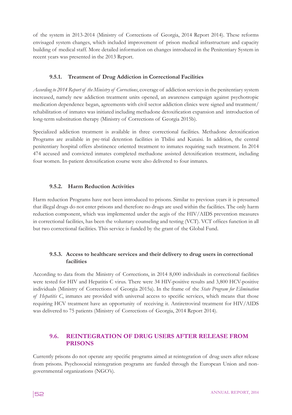of the system in 2013-2014 (Ministry of Corrections of Georgia, 2014 Report 2014). These reforms envisaged system changes, which included improvement of prison medical infrastructure and capacity building of medical staff. More detailed information on changes introduced in the Penitentiary System in recent years was presented in the 2013 Report.

### **9.5.1. Treatment of Drug Addiction in Correctional Facilities**

*According to 2014 Report of the Ministry of Corrections*, coverage of addiction services in the penitentiary system increased, namely new addiction treatment units opened, an awareness campaign against psychotropic medication dependence began, agreements with civil sector addiction clinics were signed and treatment/ rehabilitation of inmates was initiated including methadone detoxification expansion and introduction of long-term substitution therapy (Ministry of Corrections of Georgia 2015b).

Specialized addiction treatment is available in three correctional facilities. Methadone detoxification Programs are available in pre-trial detention facilities in Tbilisi and Kutaisi. In addition, the central penitentiary hospital offers abstinence oriented treatment to inmates requiring such treatment. In 2014 474 accused and convicted inmates completed methadone assisted detoxification treatment, including four women. In-patient detoxification course were also delivered to four inmates.

#### **9.5.2. Harm Reduction Activities**

Harm reduction Programs have not been introduced to prisons. Similar to previous years it is presumed that illegal drugs do not enter prisons and therefore no drugs are used within the facilities. The only harm reduction component, which was implemented under the aegis of the HIV/AIDS prevention measures in correctional facilities, has been the voluntary counseling and testing (VCT). VCT offices function in all but two correctional facilities. This service is funded by the grant of the Global Fund.

# **9.5.3. Access to healthcare services and their delivery to drug users in correctional facilities**

According to data from the Ministry of Corrections, in 2014 8,000 individuals in correctional facilities were tested for HIV and Hepatitis C virus. There were 34 HIV-positive results and 3,800 HCV-positive individuals (Ministry of Corrections of Georgia 2015a). In the frame of the *State Program for Elimination of Hepatitis C*, inmates are provided with universal access to specific services, which means that those requiring HCV treatment have an opportunity of receiving it. Antiretroviral treatment for HIV/AIDS was delivered to 75 patients (Ministry of Corrections of Georgia, 2014 Report 2014).

# **9.6. REINTEGRATION OF DRUG USERS AFTER RELEASE FROM PRISONS**

Currently prisons do not operate any specific programs aimed at reintegration of drug users after release from prisons. Psychosocial reintegration programs are funded through the European Union and nongovernmental organizations (NGO's).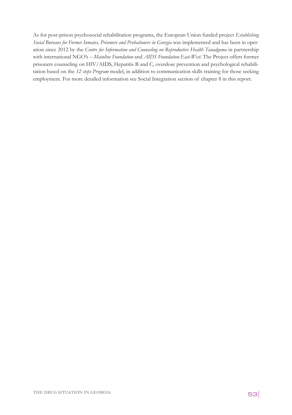As for post-prison psychosocial rehabilitation programs, the European Union funded project *Establishing Social Bureaus for Former Inmates, Prisoners and Probationers in Georgia* was implemented and has been in operation since 2012 by the *Centre for Information and Counseling on Reproductive Health Tanadgoma* in partnership with international NGO's *– Mainline Foundation* and *AIDS Foundation East-West*. The Project offers former prisoners counseling on HIV/AIDS, Hepatitis B and C, overdose prevention and psychological rehabilitation based on the *12 steps Program* model, in addition to communication skills training for those seeking employment. For more detailed information see Social Integration section of chapter 8 in this report.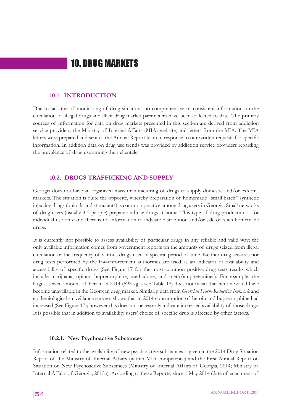# 10. DRUG MARKETS

### **10.1. INTRODUCTION**

Due to lack the of monitoring of drug situations no comprehensive or consistent information on the circulation of illegal drugs and illicit drug market parameters have been collected to date. The primary sources of information for data on drug markets presented in this section are derived from addiction service providers, the Ministry of Internal Affairs (MIA) website, and letters from the MIA. The MIA letters were prepared and sent to the Annual Report team in response to our written requests for specific information. In addition data on drug use trends was provided by addiction service providers regarding the prevalence of drug use among their clientele.

### **10.2. DRUGS TRAFFICKING AND SUPPLY**

Georgia does not have an organized mass manufacturing of drugs to supply domestic and/or external markets. The situation is quite the opposite, whereby preparation of homemade "small batch" synthetic injecting drugs (opioids and stimulants) is common practice among drug users in Georgia. Small networks of drug users (usually 3-5 people) prepare and use drugs at home. This type of drug production is for individual use only and there is no information to indicate distribution and/or sale of such homemade drugs.

It is currently not possible to assess availability of particular drugs in any reliable and valid way; the only available information comes from government reports on the amounts of drugs seized from illegal circulation or the frequency of various drugs used in specific period of time. Neither drug seizures nor drug tests performed by the law-enforcement authorities are used as an indicator of availability and accessibility of specific drugs (See Figure 17 for the most common positive drug tests results which include marijuana, opium, buprenorphine, methadone, and meth/amphetamines). For example, the largest seized amount of heroin in 2014 (592 kg – see Table 18) does not mean that heroin would have become unavailable in the Georgian drug market. Similarly, data from *Georgian Harm Reduction Network* and epidemiological surveillance surveys shows that in 2014 consumption of heroin and buprenorphine had increased (See Figure 17); however this does not necessarily indicate increased availability of those drugs. It is possible that in addition to availability users' choice of specific drug is affected by other factors.

#### **10.2.1. New Psychoactive Substances**

Information related to the availability of new psychoactive substances is given in the 2014 Drug Situation Report of the Ministry of Internal Affairs (within MIA competence) and the First Annual Report on Situation on New Psychoactive Substances (Ministry of Internal Affairs of Georgia, 2014; Ministry of Internal Affairs of Georgia, 2015a). According to these Reports, since 1 May 2014 (date of enactment of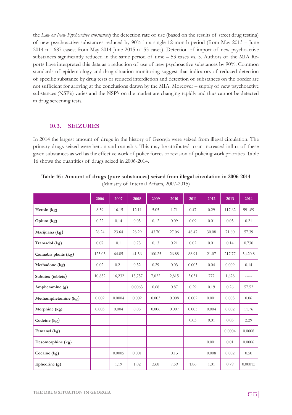the *Law on New Psychoactive substances*) the detection rate of use (based on the results of street drug testing) of new psychoactive substances reduced by 90% in a single 12-month period (from May 2013 – June 2014 n= 687 cases; from May 2014-June 2015 n=53 cases). Detection of import of new psychoactive substances significantly reduced in the same period of time – 53 cases vs. 5. Authors of the MIA Reports have interpreted this data as a reduction of use of new psychoactive substances by 90%. Common standards of epidemiology and drug situation monitoring suggest that indicators of reduced detection of specific substance by drug tests or reduced interdiction and detection of substances on the border are not sufficient for arriving at the conclusions drawn by the MIA. Moreover – supply of new psychoactive substances (NSP's) varies and the NSP's on the market are changing rapidly and thus cannot be detected in drug screening tests.

#### **10.3. SEIZURES**

In 2014 the largest amount of drugs in the history of Georgia were seized from illegal circulation. The primary drugs seized were heroin and cannabis. This may be attributed to an increased influx of these given substances as well as the effective work of police forces or revision of policing work priorities. Table 16 shows the quantities of drugs seized in 2006-2014.

|                      | 2006   | 2007   | 2008   | 2009   | 2010  | 2011  | 2012  | 2013   | 2014    |
|----------------------|--------|--------|--------|--------|-------|-------|-------|--------|---------|
| Heroin (kg)          | 8.59   | 16.15  | 12.11  | 5.05   | 1.71  | 0.47  | 0.29  | 117.62 | 591.89  |
| Opium (kg)           | 0.22   | 0.14   | 0.05   | 0.12   | 0.09  | 0.09  | 0.01  | 0.05   | 0.21    |
| Marijuana (kg)       | 26.24  | 23.64  | 28.29  | 43.70  | 27.06 | 48.47 | 30.08 | 71.60  | 57.39   |
| Tramadol (kg)        | 0.07   | 0.1    | 0.73   | 0.13   | 0.21  | 0.02  | 0.01  | 0.14   | 0.730   |
| Cannabis plants (kg) | 123.03 | 64.85  | 41.56  | 100.25 | 26.88 | 88.91 | 21.07 | 217.77 | 5,420.8 |
| Methadone (kg)       | 0.02   | 0.21   | 0.32   | 0.29   | 0.03  | 0.003 | 0.04  | 0.009  | 0.14    |
| Subutex (tablets)    | 10,852 | 16,232 | 13,757 | 7,022  | 2,815 | 3,031 | 777   | 1,678  | -----   |
| Amphetamine (g)      |        |        | 0.0063 | 0.68   | 0.87  | 0.29  | 0.19  | 0.26   | 57.52   |
| Methamphetamine (kg) | 0.002  | 0.0004 | 0.002  | 0.003  | 0.008 | 0.002 | 0.001 | 0.003  | 0.06    |
| Morphine (kg)        | 0.003  | 0.004  | 0.03   | 0.006  | 0.007 | 0.005 | 0.004 | 0.002  | 11.76   |
| Codeine $(kg)$       |        |        |        |        |       | 0.03  | 0.01  | 0.03   | 2.29    |
| Fentanyl (kg)        |        |        |        |        |       |       |       | 0.0004 | 0.0008  |
| Desomorphine (kg)    |        |        |        |        |       |       | 0.001 | 0.01   | 0.0006  |
| Cocaine (kg)         |        | 0.0005 | 0.001  |        | 0.13  |       | 0.008 | 0.002  | 0.50    |
| Ephedrine (g)        |        | 1.19   | 1.02   | 3.68   | 7.59  | 1.86  | 1.01  | 0.79   | 0.00015 |

**Table 16 : Amount of drugs (pure substances) seized from illegal circulation in 2006-2014**  (Ministry of Internal Affairs, 2007-2015)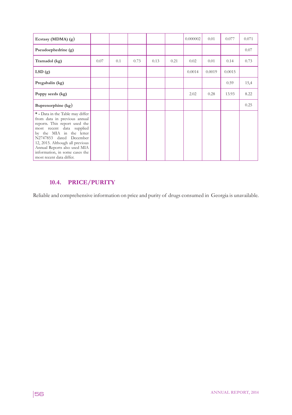| Ecstasy (MDMA) $(g)$                                                                                                                                                                                                                                                                                                   |      |     |      |      |      | 0.000002 | 0.01   | 0.077  | 0.071 |
|------------------------------------------------------------------------------------------------------------------------------------------------------------------------------------------------------------------------------------------------------------------------------------------------------------------------|------|-----|------|------|------|----------|--------|--------|-------|
| Pseudoephedrine (g)                                                                                                                                                                                                                                                                                                    |      |     |      |      |      |          |        |        | 0.07  |
| Tramadol (kg)                                                                                                                                                                                                                                                                                                          | 0.07 | 0.1 | 0.73 | 0.13 | 0.21 | 0.02     | 0.01   | 0.14   | 0.73  |
| LSD(g)                                                                                                                                                                                                                                                                                                                 |      |     |      |      |      | 0.0014   | 0.0019 | 0.0015 |       |
| Pregabalin (kg)                                                                                                                                                                                                                                                                                                        |      |     |      |      |      |          |        | 0.59   | 15,4  |
| Poppy seeds (kg)                                                                                                                                                                                                                                                                                                       |      |     |      |      |      | 2.02     | 0.28   | 13.93  | 8.22  |
| Buprenorphine (kg)                                                                                                                                                                                                                                                                                                     |      |     |      |      |      |          |        |        | 0.25  |
| * - Data in the Table may differ<br>from data in previous annual<br>reports. This report used the<br>most recent data supplied<br>by the MIA in the letter<br>N2747853 dated December<br>12, 2015. Although all previous<br>Annual Reports also used MIA<br>information, in some cases the<br>most recent data differ. |      |     |      |      |      |          |        |        |       |

# **10.4. PRICE/PURITY**

Reliable and comprehensive information on price and purity of drugs consumed in Georgia is unavailable.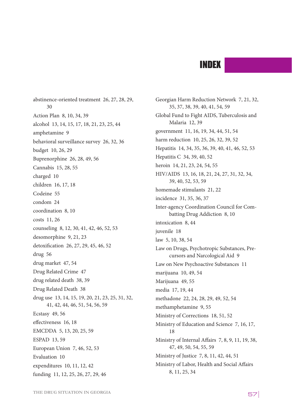# INDEX

abstinence-oriented treatment 26, 27, 28, 29, 30 Action Plan 8, 10, 34, 39 alcohol 13, 14, 15, 17, 18, 21, 23, 25, 44 amphetamine 9 behavioral surveillance survey 26, 32, 36 budget 10, 26, 29 Buprenorphine 26, 28, 49, 56 Cannabis 15, 28, 55 charged 10 children 16, 17, 18 Codeine 55 condom 24 coordination 8, 10 costs 11, 26 counseling 8, 12, 30, 41, 42, 46, 52, 53 desomorphine 9, 21, 23 detoxification 26, 27, 29, 45, 46, 52 drug 56 drug market 47, 54 Drug Related Crime 47 drug related death 38, 39 Drug Related Death 38 drug use 13, 14, 15, 19, 20, 21, 23, 25, 31, 32, 41, 42, 44, 46, 51, 54, 56, 59 Ecstasy 49, 56 effectiveness 16, 18 EMCDDA 5, 13, 20, 25, 59 ESPAD 13, 59 European Union 7, 46, 52, 53 Evaluation 10 expenditures 10, 11, 12, 42 funding 11, 12, 25, 26, 27, 29, 46

Georgian Harm Reduction Network 7, 21, 32, 35, 37, 38, 39, 40, 41, 54, 59 Global Fund to Fight AIDS, Tuberculosis and Malaria 12, 39 government 11, 16, 19, 34, 44, 51, 54 harm reduction 10, 25, 26, 32, 39, 52 Hepatitis 14, 34, 35, 36, 39, 40, 41, 46, 52, 53 Hepatitis C 34, 39, 40, 52 heroin 14, 21, 23, 24, 54, 55 HIV/AIDS 13, 16, 18, 21, 24, 27, 31, 32, 34, 39, 40, 52, 53, 59 homemade stimulants 21, 22 incidence 31, 35, 36, 37 Inter-agency Coordination Council for Combatting Drug Addiction 8, 10 intoxication 8, 44 juvenile 18 law 5, 10, 38, 54 Law on Drugs, Psychotropic Substances, Precursors and Narcological Aid 9 Law on New Psychoactive Substances 11 marijuana 10, 49, 54 Marijuana 49, 55 media 17, 19, 44 methadone 22, 24, 28, 29, 49, 52, 54 methamphetamine 9, 55 Ministry of Corrections 18, 51, 52 Ministry of Education and Science 7, 16, 17, 18 Ministry of Internal Affairs 7, 8, 9, 11, 19, 38, 47, 49, 50, 54, 55, 59 Ministry of Justice 7, 8, 11, 42, 44, 51 Ministry of Labor, Health and Social Affairs 8, 11, 25, 34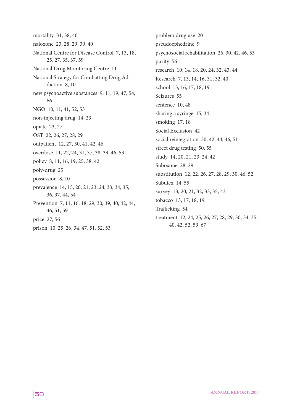mortality 31, 38, 40 naloxone 23, 28, 29, 39, 40 National Centre for Disease Control 7, 13, 18, 25, 27, 35, 37, 59 National Drug Monitoring Centre 11 National Strategy for Combatting Drug Addiction 8, 10 new psychoactive substances 9, 11, 19, 47, 54, 66 NGO 10, 11, 41, 52, 53 non-injecting drug 14, 23 opiate 23, 27 OST 22, 26, 27, 28, 29 outpatient 12, 27, 30, 41, 42, 46 overdose 11, 22, 24, 31, 37, 38, 39, 46, 53 policy 8, 11, 16, 19, 25, 38, 42 poly-drug 25 possession 8, 10 prevalence 14, 15, 20, 21, 23, 24, 33, 34, 35, 36, 37, 44, 54 Prevention 7, 11, 16, 18, 29, 30, 39, 40, 42, 44, 46, 51, 59 price 27, 56 prison 10, 25, 26, 34, 47, 51, 52, 53

problem drug use 20 pseudoephedrine 9 psychosocial rehabilitation 26, 30, 42, 46, 53 purity 56 research 10, 14, 18, 20, 24, 32, 43, 44 Research 7, 13, 14, 16, 31, 32, 40 school 13, 16, 17, 18, 19 Seizures 55 sentence 10, 48 sharing a syringe 15, 34 smoking 17, 18 Social Exclusion 42 social reintegration 30, 42, 44, 46, 51 street drug testing 50, 55 study 14, 20, 21, 23, 24, 42 Suboxone 28, 29 substitution 12, 22, 26, 27, 28, 29, 30, 46, 52 Subutex 14, 55 survey 13, 20, 21, 32, 33, 35, 43 tobacco 13, 17, 18, 19 Trafficking 54 treatment 12, 24, 25, 26, 27, 28, 29, 30, 34, 35, 40, 42, 52, 59, 67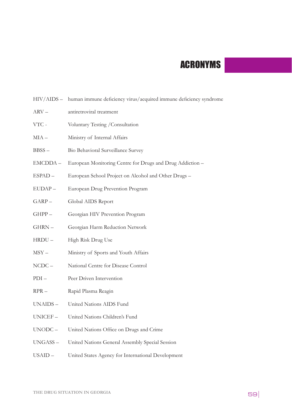# ACRONYMS

- HIV/AIDS human immune deficiency virus/acquired immune deficiency syndrome
- ARV antiretroviral treatment
- VTC Voluntary Testing /Consultation
- MIA Ministry of Internal Affairs
- BBSS Bio Behavioral Surveillance Survey
- EMCDDA European Monitoring Centre for Drugs and Drug Addiction –
- ESPAD European School Project on Alcohol and Other Drugs –
- EUDAP European Drug Prevention Program
- GARP Global AIDS Report
- GHPP Georgian HIV Prevention Program
- GHRN Georgian Harm Reduction Network
- HRDU High Risk Drug Use
- MSY Ministry of Sports and Youth Affairs
- NCDC National Centre for Disease Control
- PDI Peer Driven Intervention
- RPR Rapid Plasma Reagin
- UNAIDS United Nations AIDS Fund
- UNICEF United Nations Children's Fund
- UNODC United Nations Office on Drugs and Crime
- UNGASS United Nations General Assembly Special Session
- USAID United States Agency for International Development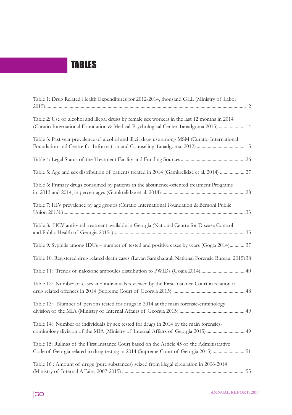# TABLES

| Table 1: Drug Related Health Expenditures for 2012-2014, thousand GEL (Ministry of Labor                                                                                             |
|--------------------------------------------------------------------------------------------------------------------------------------------------------------------------------------|
| Table 2: Use of alcohol and illegal drugs by female sex workers in the last 12 months in 2014<br>(Curatio International Foundation & Medical-Psychological Center Tanadgoma 2015) 14 |
| Table 3: Past year prevalence of alcohol and illicit drug use among MSM (Curatio International                                                                                       |
|                                                                                                                                                                                      |
| Table 5: Age and sex distribution of patients treated in 2014 (Gamkrelidze et al. 2014) 27                                                                                           |
| Table 6: Primary drugs consumed by patients in the abstinence-oriented treatment Programs                                                                                            |
| Table 7: HIV prevalence by age groups (Curatio International Foundation & Bemoni Public                                                                                              |
| Table 8: HCV anti-viral treatment available in Georgia (National Centre for Disease Control                                                                                          |
| Table 9: Syphilis among IDUs - number of tested and positive cases by years (Gogia 2014)37                                                                                           |
| Table 10: Registered drug related death cases (Levan Samkharauli National Forensic Bureau, 2015) 38                                                                                  |
|                                                                                                                                                                                      |
| Table 12: Number of cases and individuals reviewed by the First Instance Court in relation to                                                                                        |
| Table 13: Number of persons tested for drugs in 2014 at the main forensic-criminology                                                                                                |
| Table 14: Number of individuals by sex tested for drugs in 2014 by the main forensics-<br>criminology division of the MIA (Ministry of Internal Affairs of Georgia 2015) 49          |
| Table 15: Rulings of the First Instance Court based on the Article 45 of the Administrative<br>Code of Georgia related to drug testing in 2014 (Supreme Court of Georgia 2015) 51    |
| Table 16 : Amount of drugs (pure substances) seized from illegal circulation in 2006-2014                                                                                            |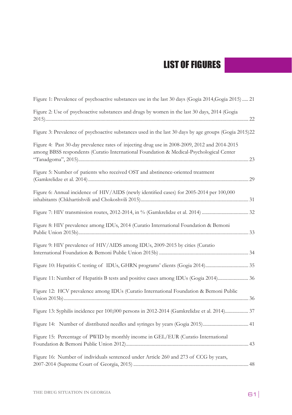# LIST OF FIGURES

| Figure 1: Prevalence of psychoactive substances use in the last 30 days (Gogia 2014, Gogia 2015)  21                                                                                     |
|------------------------------------------------------------------------------------------------------------------------------------------------------------------------------------------|
| Figure 2: Use of psychoactive substances and drugs by women in the last 30 days, 2014 (Gogia                                                                                             |
| Figure 3: Prevalence of psychoactive substances used in the last 30 days by age groups (Gogia 2015)22                                                                                    |
| Figure 4: Past 30-day prevalence rates of injecting drug use in 2008-2009, 2012 and 2014-2015<br>among BBSS respondents (Curatio International Foundation & Medical-Psychological Center |
| Figure 5: Number of patients who received OST and abstinence-oriented treatment                                                                                                          |
| Figure 6: Annual incidence of HIV/AIDS (newly identified cases) for 2005-2014 per 100,000                                                                                                |
|                                                                                                                                                                                          |
| Figure 8: HIV prevalence among IDUs, 2014 (Curatio International Foundation & Bemoni                                                                                                     |
| Figure 9: HIV prevalence of HIV/AIDS among IDUs, 2009-2015 by cities (Curatio                                                                                                            |
|                                                                                                                                                                                          |
| Figure 11: Number of Hepatitis B tests and positive cases among IDUs (Gogia 2014) 36                                                                                                     |
| Figure 12: HCV prevalence among IDUs (Curatio International Foundation & Bemoni Public                                                                                                   |
| Figure 13: Syphilis incidence per 100,000 persons in 2012-2014 (Gamkrelidze et al. 2014) 37                                                                                              |
| Figure 14: Number of distributed needles and syringes by years (Gogia 2015) 41                                                                                                           |
| Figure 15: Percentage of PWID by monthly income in GEL/EUR (Curatio International                                                                                                        |
| Figure 16: Number of individuals sentenced under Article 260 and 273 of CCG by years,                                                                                                    |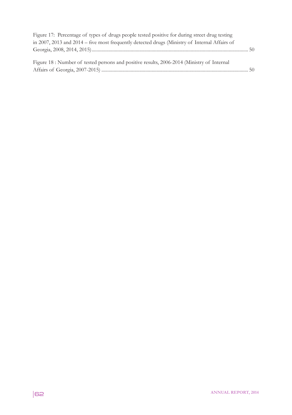| Figure 17: Percentage of types of drugs people tested positive for during street drug testing |  |
|-----------------------------------------------------------------------------------------------|--|
| in 2007, 2013 and 2014 – five most frequently detected drugs (Ministry of Internal Affairs of |  |
|                                                                                               |  |
|                                                                                               |  |
| Figure 18 : Number of tested persons and positive results, 2006-2014 (Ministry of Internal    |  |
|                                                                                               |  |
|                                                                                               |  |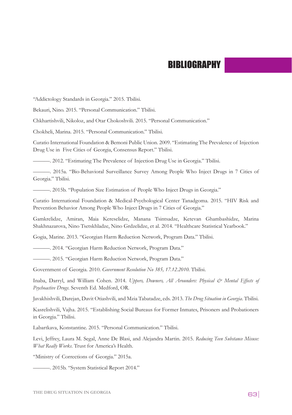# **BIBLIOGRAPHY**

"Addictology Standards in Georgia." 2015. Tbilisi.

Bekauri, Nino. 2015. "Personal Communication." Tbilisi.

Chkhartishvili, Nikoloz, and Otar Chokoshvili. 2015. "Personal Communication."

Chokheli, Marina. 2015. "Personal Communication." Tbilisi.

Curatio International Foundation & Bemoni Public Union. 2009. "Estimating The Prevalence of Injection Drug Use in Five Cities of Georgia, Consensus Report." Tbilisi.

———. 2012. "Estimating The Prevalence of Injection Drug Use in Georgia." Tbilisi.

———. 2015a. "Bio-Behavioral Surveillance Survey Among People Who Inject Drugs in 7 Cities of Georgia." Tbilisi.

———. 2015b. "Population Size Estimation of People Who Inject Drugs in Georgia."

Curatio International Foundation & Medical-Psychological Center Tanadgoma. 2015. "HIV Risk and Prevention Behavior Among People Who Inject Drugs in 7 Cities of Georgia."

Gamkrelidze, Amiran, Maia Kereselidze, Manana Tsintsadze, Ketevan Ghambashidze, Marina Shakhnazarova, Nino Tsetskhladze, Nino Grdzelidze, et al. 2014. "Healthcare Statistical Yearbook."

Gogia, Marine. 2013. "Georgian Harm Reduction Network, Program Data." Tbilisi.

———. 2014. "Georgian Harm Reduction Network, Program Data."

———. 2015. "Georgian Harm Reduction Network, Program Data."

Government of Georgia. 2010. *Government Resolution No 385, 17.12.2010.* Tbilisi.

Inaba, Darryl, and William Cohen. 2014. *Uppers, Downers, All Arounders: Physical & Mental Effects of Psychoactive Drugs*. Seventh Ed. Medford, OR.

Javakhishvili, Darejan, Davit Otiashvili, and Mzia Tabatadze, eds. 2013. *The Drug Situation in Georgia*. Tbilisi.

Kasrelishvili, Vajha. 2015. "Establishing Social Bureaus for Former Inmates, Prisoners and Probationers in Georgia." Tbilisi.

Labartkava, Konstantine. 2015. "Personal Communication." Tbilisi.

Levi, Jeffrey, Laura M. Segal, Anne De Blasi, and Alejandra Martin. 2015. *Reducing Teen Substance Misuse: What Really Works*. Trust for America's Health.

"Ministry of Corrections of Georgia." 2015a.

———. 2015b. "System Statistical Report 2014."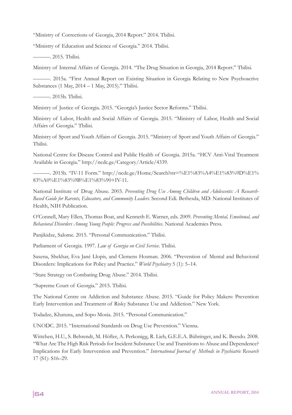"Ministry of Corrections of Georgia, 2014 Report." 2014. Tbilisi.

"Ministry of Education and Science of Georgia." 2014. Tbilisi.

———. 2015. Tbilisi.

Ministry of Internal Affairs of Georgia. 2014. "The Drug Situation in Georgia, 2014 Report." Tbilisi.

———. 2015a. "First Annual Report on Existing Situation in Georgia Relating to New Psychoactive Substances (1 May, 2014 – 1 May, 2015)." Tbilisi.

———. 2015b. Tbilisi.

Ministry of Justice of Georgia. 2015. "Georgia's Justice Sector Reforms." Tbilisi.

Ministry of Labor, Health and Social Affairs of Georgia. 2015. "Ministry of Labor, Health and Social Affairs of Georgia." Tbilisi.

Ministry of Sport and Youth Affairs of Georgia. 2015. "Ministry of Sport and Youth Affairs of Georgia." Tbilisi.

National Centre for Disease Control and Public Health of Georgia. 2015a. "HCV Anti-Viral Treatment Available in Georgia." http://ncdc.ge/Category/Article/4339.

———. 2015b. "IV-11 Form." http://ncdc.ge/Home/Search?str=%E1%83%A4%E1%83%9D%E1% 83%A0%E1%83%9B%E1%83%90+IV-11.

National Institute of Drug Abuse. 2003. *Preventing Drug Use Among Children and Adolescents: A Research-Based Guide for Rarents, Educators, and Community Leaders.* Second Edi. Bethesda, MD: National Institutes of Health, NIH Publication.

O'Connell, Mary Ellen, Thomas Boat, and Kenneth E. Warner, eds. 2009. *Preventing Mental, Emotional, and Behavioral Disorders Among Young People: Progress and Possibilities*. National Academies Press.

Panjikidze, Salome. 2015. "Personal Communication." Tbilisi.

Parliament of Georgia. 1997. *Law of Georgia on Civil Service*. Tbilisi.

Saxena, Shekhar, Eva Jané Llopis, and Clemens Hosman. 2006. "Prevention of Mental and Behavioral Disorders: Implications for Policy and Practice." *World Psychiatry* 5 (1): 5–14.

"State Strategy on Combating Drug Abuse." 2014. Tbilisi.

"Supreme Court of Georgia." 2015. Tbilisi.

The National Centre on Addiction and Substance Abuse. 2015. "Guide for Policy Makers: Prevention Early Intervention and Treatment of Risky Substance Use and Addiction." New York.

Todadze, Khatuna, and Sopo Mosia. 2015. "Personal Communication."

UNODC. 2015. "International Standards on Drug Use Prevention." Vienna.

Wittchen, H.U., S. Behrendt, M. Höfler, A. Perkonigg, R. Lieb, G.E.E.A. Bühringer, and K. Beesdo. 2008. "What Are The High Risk Periods for Incident Substance Use and Transitions to Abuse and Dependence? Implications for Early Intervention and Prevention." *International Journal of Methods in Psychiatric Research* 17 (S1): S16–29.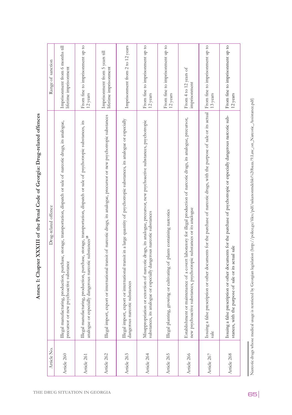| Article No. | Drug-related offence                                                                                                                                                                                | Range of sanction                                        |
|-------------|-----------------------------------------------------------------------------------------------------------------------------------------------------------------------------------------------------|----------------------------------------------------------|
| Article 260 | Illegal manufacturing, production, purchase, storage, transportation, dispatch or sale of narcotic drugs, its analogue,<br>precursor or new psychoactive substance                                  | Imprisonment from 6 months till<br>lifetime imprisonment |
| Article 261 | Illegal manufacturing, production, purchase, storage, transportation, dispatch or sale of psychotropic substances, its<br>analogue or especially dangerous narcotic substances <sup>18</sup>        | From fine to imprisonment up to<br>12 years              |
| Article 262 | Illegal import, export or international transit of narcotic drugs, its analogue, precursor or new psychotropic substances                                                                           | Imprisonment from 5 years till<br>lifetime imprisonment  |
| Article 263 | Illegal import, export or international transit in a large quantity of psychotropic substances, its analogue or especially<br>dangerous narcotic substances                                         | Imprisonment from 2 to 12 years                          |
| Article 264 | c drugs, its analogue, precursor, new psychoactive substances, psychotropic<br>gerous narcotic substances<br>Misappropriation or extortion of narcoti<br>substances, its analogue or especially dan | From fine to imprisonment up to<br>12 years              |
| Article 265 | plants containing narcotics<br>Illegal planting, growing or cultivating of                                                                                                                          | From fine to imprisonment up to<br>12 years              |
| Article 266 | Establishment or maintenance of a covert laboratory for illegal production of narcotic drugs, its analogue, precursor,<br>new psychoactive substances, psychotropic substances or its analogue      | From 4 to 12 years of<br>imprisonment                    |
| Article 267 | Issuing a false prescription or other documents for the purchase of narcotic drugs, with the purpose of sale or its actual<br>sale                                                                  | From fine to imprisonment up to<br>13 years              |
| Article 268 | Issuing a false prescription or other documents for the purchase of psychotropic or especially dangerous narcotic sub-<br>stances, with the purpose of sale or its actual sale                      | From fine to imprisonment up to<br>12 years              |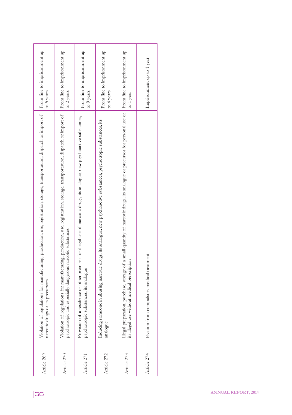| From fine to imprisonment up<br>From fine to imprisonment up<br>From fine to imprisonment up<br>From fine to imprisonment up<br>From fine to imprisonment up<br>Imprisonment up to 1 year<br>to 2 years<br>to 5 years<br>to 9 years<br>to 6 years<br>to 1 year<br>a small quantity of narcotic drugs, its analogue or precursor for personal use or<br>Violation of regulations for manufacturing, production, use, registration, storage, transportation, dispatch or import of<br>Violation of regulations for manufacturing, production, use, registration, storage, transportation, dispatch or import of<br>Provision of a residence or other premises for illegal use of narcotic drugs, its analogue, new psychoactive substances,<br>Inducing someone in abusing narcotic drugs, its analogue, new psychoactive substances, psychotropic substances, its<br>psychotropic and especially dangerous narcotic substances<br>Evasion from compulsory medical treatment<br>its illegal use without medical prescription<br>Illegal preparation, purchase, storage of<br>psychotropic substances, its analogue<br>narcotic drugs or its precursors<br>analogue<br>Article 270<br>Article 272<br>Article 274<br>Article 269<br>Article 273<br>Article 271 |    |  |  |                            |
|------------------------------------------------------------------------------------------------------------------------------------------------------------------------------------------------------------------------------------------------------------------------------------------------------------------------------------------------------------------------------------------------------------------------------------------------------------------------------------------------------------------------------------------------------------------------------------------------------------------------------------------------------------------------------------------------------------------------------------------------------------------------------------------------------------------------------------------------------------------------------------------------------------------------------------------------------------------------------------------------------------------------------------------------------------------------------------------------------------------------------------------------------------------------------------------------------------------------------------------------------------|----|--|--|----------------------------|
|                                                                                                                                                                                                                                                                                                                                                                                                                                                                                                                                                                                                                                                                                                                                                                                                                                                                                                                                                                                                                                                                                                                                                                                                                                                            |    |  |  |                            |
|                                                                                                                                                                                                                                                                                                                                                                                                                                                                                                                                                                                                                                                                                                                                                                                                                                                                                                                                                                                                                                                                                                                                                                                                                                                            |    |  |  |                            |
|                                                                                                                                                                                                                                                                                                                                                                                                                                                                                                                                                                                                                                                                                                                                                                                                                                                                                                                                                                                                                                                                                                                                                                                                                                                            |    |  |  |                            |
|                                                                                                                                                                                                                                                                                                                                                                                                                                                                                                                                                                                                                                                                                                                                                                                                                                                                                                                                                                                                                                                                                                                                                                                                                                                            | 66 |  |  | <b>ANNUAL REPORT, 2014</b> |